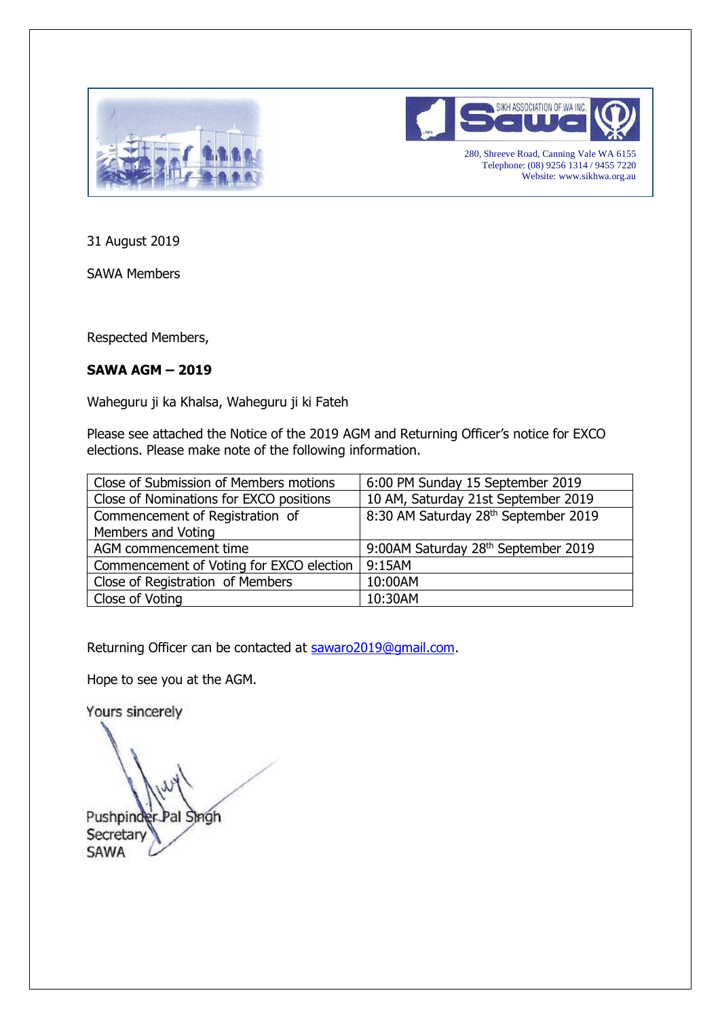



280, Shreeve Road, Canning Vale WA 6155 Telephone: (08) 9256 1314 / 9455 7220 Website: www.sikhwa.org.au

31 August 2019

SAWA Members

Respected Members,

### **SAWA AGM – 2019**

Waheguru ji ka Khalsa, Waheguru ji ki Fateh

Please see attached the Notice of the 2019 AGM and Returning Officer's notice for EXCO elections. Please make note of the following information.

| Close of Submission of Members motions   | 6:00 PM Sunday 15 September 2019                 |
|------------------------------------------|--------------------------------------------------|
| Close of Nominations for EXCO positions  | 10 AM, Saturday 21st September 2019              |
| Commencement of Registration of          | 8:30 AM Saturday 28 <sup>th</sup> September 2019 |
| Members and Voting                       |                                                  |
| AGM commencement time                    | 9:00AM Saturday 28 <sup>th</sup> September 2019  |
| Commencement of Voting for EXCO election | 9:15AM                                           |
| Close of Registration of Members         | 10:00AM                                          |
| Close of Voting                          | 10:30AM                                          |

Returning Officer can be contacted at [sawaro2019@gmail.com.](mailto:sawaro2019@gmail.com)

Hope to see you at the AGM.

Yours sincerely

Pushpinder Pal Singh Secretary **SAWA**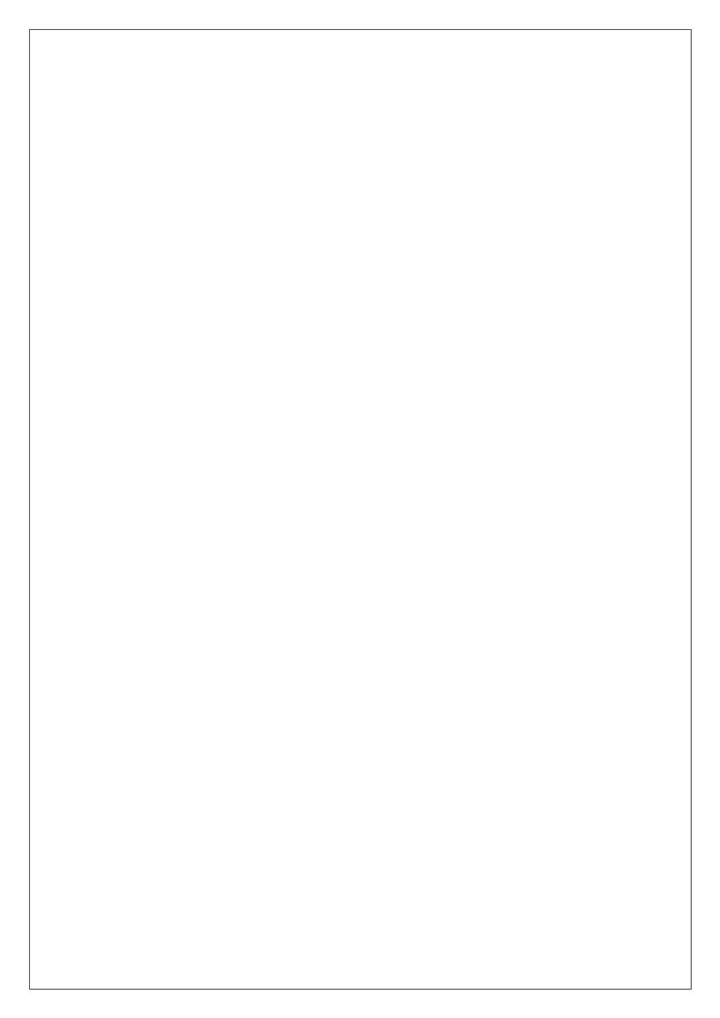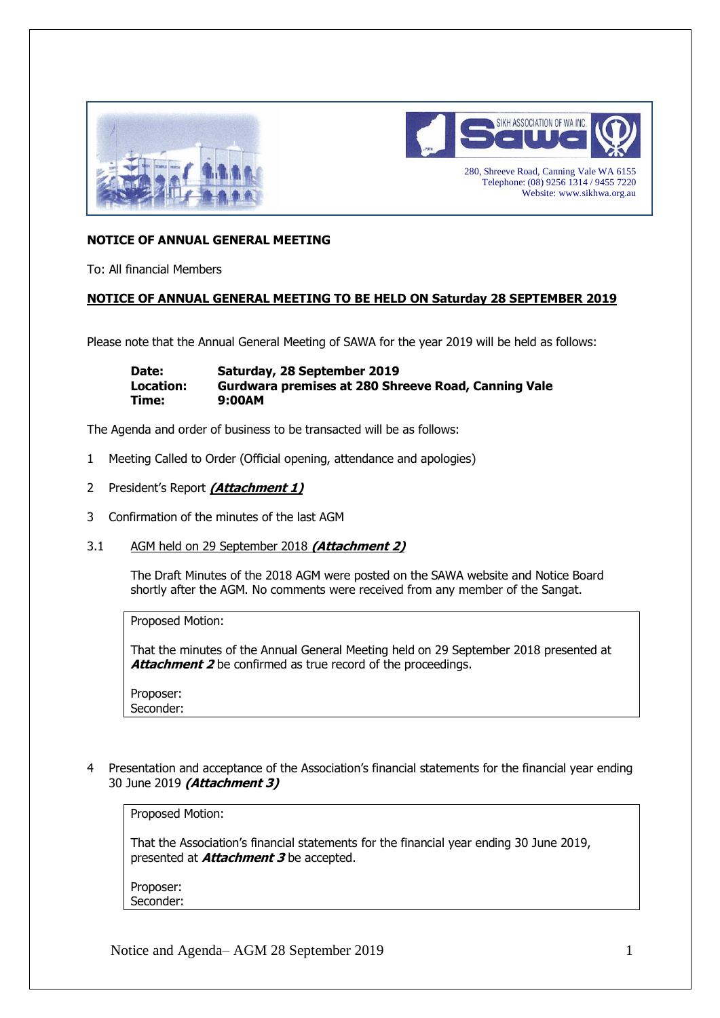



### **NOTICE OF ANNUAL GENERAL MEETING**

To: All financial Members

### **NOTICE OF ANNUAL GENERAL MEETING TO BE HELD ON Saturday 28 SEPTEMBER 2019**

Please note that the Annual General Meeting of SAWA for the year 2019 will be held as follows:

**Date: Saturday, 28 September 2019 Location: Gurdwara premises at 280 Shreeve Road, Canning Vale Time: 9:00AM**

The Agenda and order of business to be transacted will be as follows:

- 1 Meeting Called to Order (Official opening, attendance and apologies)
- 2 President's Report **(Attachment 1)**
- 3 Confirmation of the minutes of the last AGM
- 3.1 AGM held on 29 September 2018 **(Attachment 2)**

The Draft Minutes of the 2018 AGM were posted on the SAWA website and Notice Board shortly after the AGM. No comments were received from any member of the Sangat.

Proposed Motion:

That the minutes of the Annual General Meeting held on 29 September 2018 presented at **Attachment 2** be confirmed as true record of the proceedings.

Proposer: Seconder:

4 Presentation and acceptance of the Association's financial statements for the financial year ending 30 June 2019 **(Attachment 3)**

Proposed Motion:

That the Association's financial statements for the financial year ending 30 June 2019, presented at **Attachment 3** be accepted.

Proposer: Seconder:

Notice and Agenda– AGM 28 September 2019 1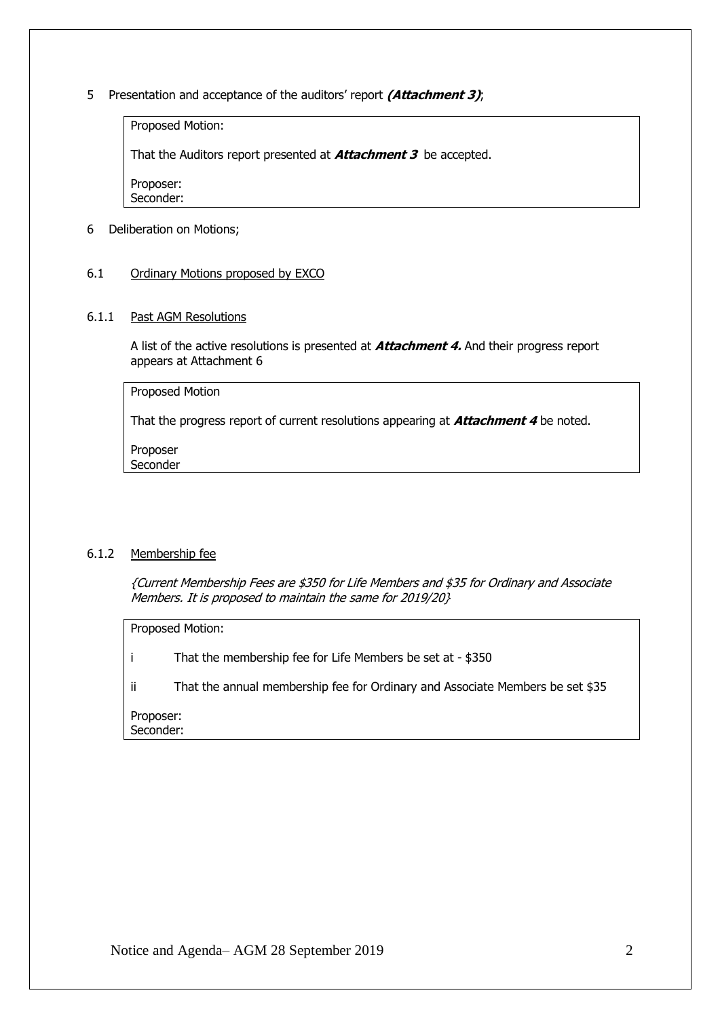5 Presentation and acceptance of the auditors' report **(Attachment 3)**;

Proposed Motion:

That the Auditors report presented at **Attachment 3** be accepted.

Proposer: Seconder:

6 Deliberation on Motions;

### 6.1 Ordinary Motions proposed by EXCO

### 6.1.1 Past AGM Resolutions

A list of the active resolutions is presented at **Attachment 4.** And their progress report appears at Attachment 6

| <b>Proposed Motion</b>                                                                     |
|--------------------------------------------------------------------------------------------|
| That the progress report of current resolutions appearing at <b>Attachment 4</b> be noted. |
| Proposer<br>Seconder                                                                       |
|                                                                                            |

### 6.1.2 Membership fee

{Current Membership Fees are \$350 for Life Members and \$35 for Ordinary and Associate Members. It is proposed to maintain the same for 2019/20}

|                        | Proposed Motion:                                                              |
|------------------------|-------------------------------------------------------------------------------|
|                        | That the membership fee for Life Members be set at - \$350                    |
| Ϊİ                     | That the annual membership fee for Ordinary and Associate Members be set \$35 |
| Proposer:<br>Seconder: |                                                                               |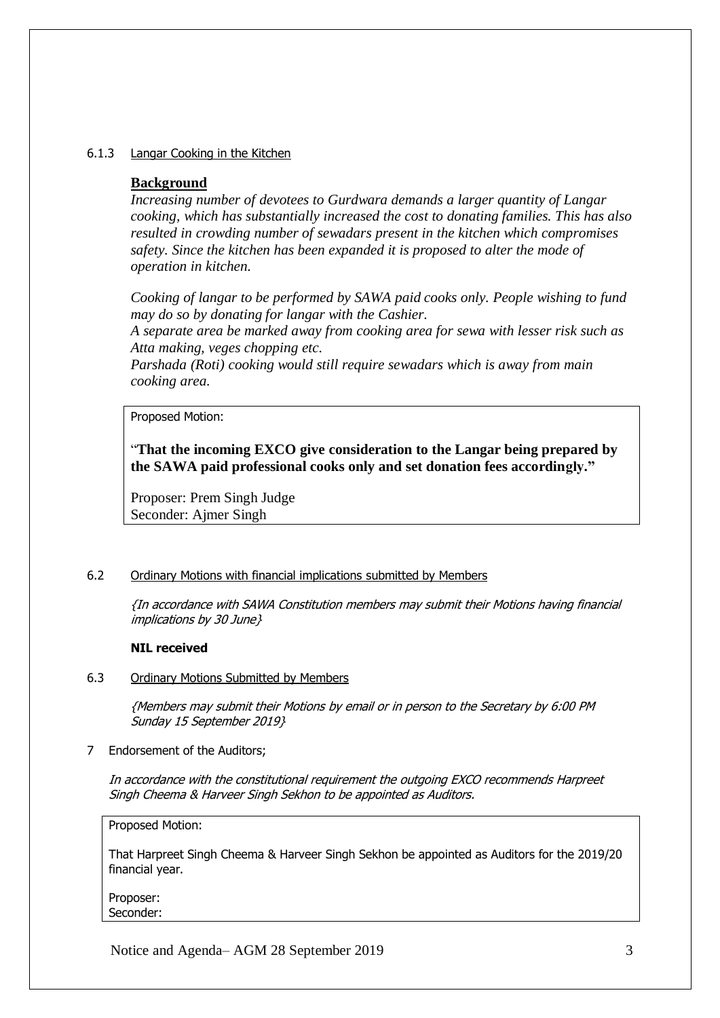### 6.1.3 Langar Cooking in the Kitchen

### **Background**

*Increasing number of devotees to Gurdwara demands a larger quantity of Langar cooking, which has substantially increased the cost to donating families. This has also resulted in crowding number of sewadars present in the kitchen which compromises safety. Since the kitchen has been expanded it is proposed to alter the mode of operation in kitchen.* 

*Cooking of langar to be performed by SAWA paid cooks only. People wishing to fund may do so by donating for langar with the Cashier. A separate area be marked away from cooking area for sewa with lesser risk such as* 

*Atta making, veges chopping etc. Parshada (Roti) cooking would still require sewadars which is away from main* 

*cooking area.* 

### Proposed Motion:

"**That the incoming EXCO give consideration to the Langar being prepared by the SAWA paid professional cooks only and set donation fees accordingly."** 

Proposer: Prem Singh Judge Seconder: Ajmer Singh

### 6.2 Ordinary Motions with financial implications submitted by Members

{In accordance with SAWA Constitution members may submit their Motions having financial implications by 30 June}

#### **NIL received**

### 6.3 Ordinary Motions Submitted by Members

{Members may submit their Motions by email or in person to the Secretary by 6:00 PM Sunday 15 September 2019}

7 Endorsement of the Auditors;

In accordance with the constitutional requirement the outgoing EXCO recommends Harpreet Singh Cheema & Harveer Singh Sekhon to be appointed as Auditors.

Proposed Motion:

That Harpreet Singh Cheema & Harveer Singh Sekhon be appointed as Auditors for the 2019/20 financial year.

Proposer: Seconder:

Notice and Agenda– AGM 28 September 2019 3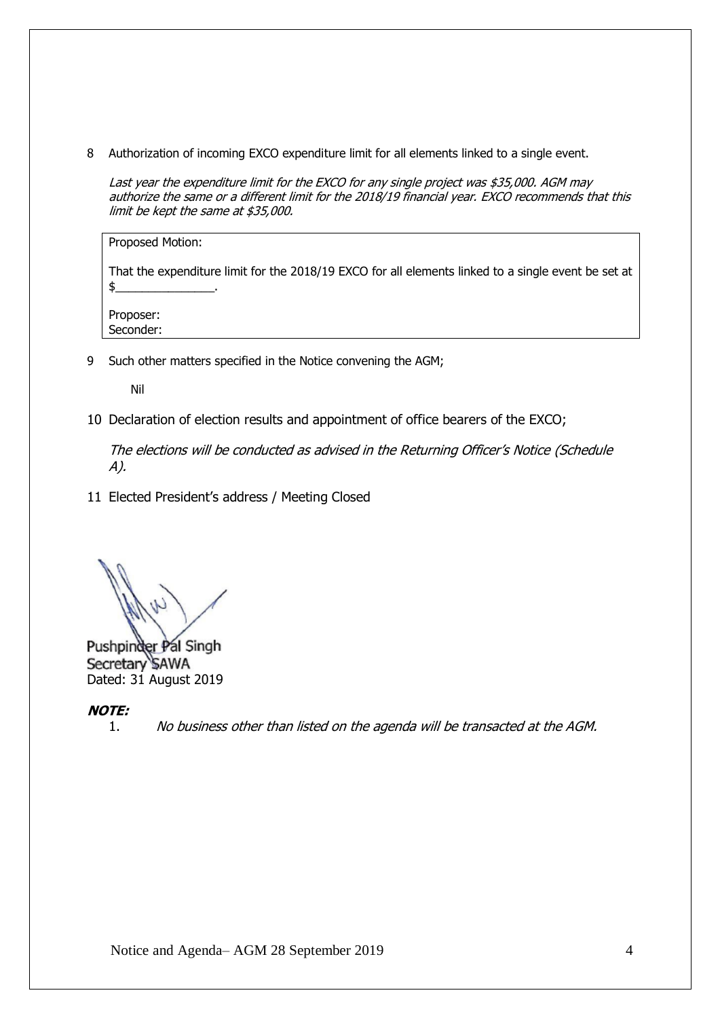8 Authorization of incoming EXCO expenditure limit for all elements linked to a single event.

Last year the expenditure limit for the EXCO for any single project was \$35,000. AGM may authorize the same or a different limit for the 2018/19 financial year. EXCO recommends that this limit be kept the same at \$35,000.

Proposed Motion: That the expenditure limit for the 2018/19 EXCO for all elements linked to a single event be set at  $\$$  \_\_\_\_\_\_\_\_\_\_\_\_\_\_\_\_\_\_\_\_\_. Proposer: Seconder:

9 Such other matters specified in the Notice convening the AGM;

Nil

10 Declaration of election results and appointment of office bearers of the EXCO;

The elections will be conducted as advised in the Returning Officer's Notice (Schedule A).

11 Elected President's address / Meeting Closed

Pushpinger Pal Singh Secretary SAWA Dated: 31 August 2019

# **NOTE:**

1. No business other than listed on the agenda will be transacted at the AGM.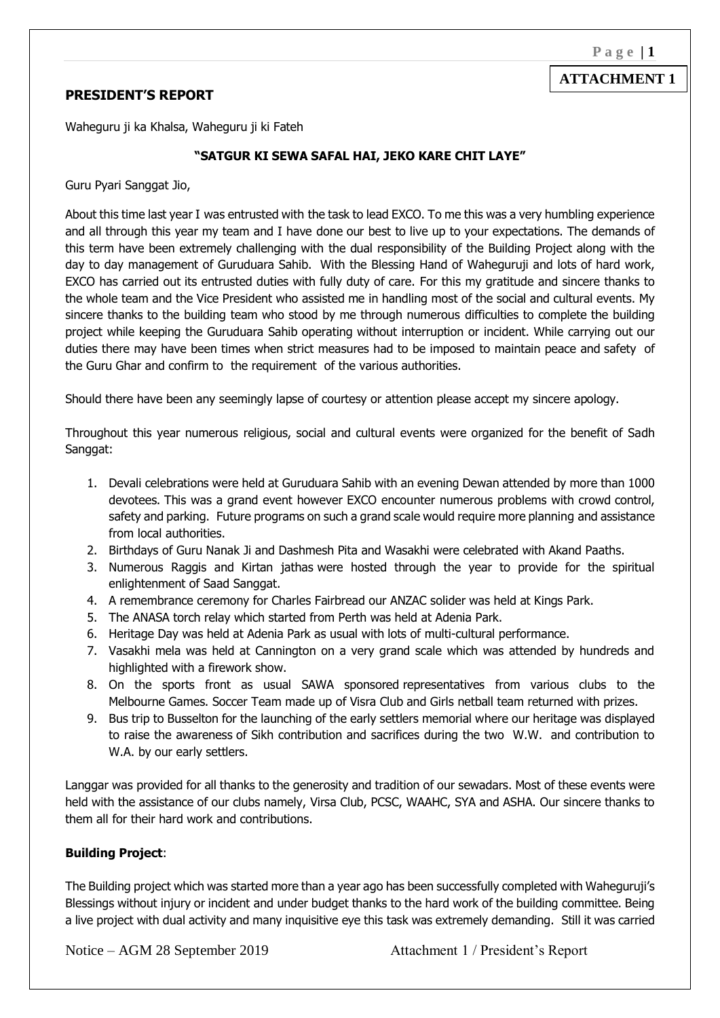# **ATTACHMENT 1**

### **PRESIDENT'S REPORT**

Waheguru ji ka Khalsa, Waheguru ji ki Fateh

### **"SATGUR KI SEWA SAFAL HAI, JEKO KARE CHIT LAYE"**

Guru Pyari Sanggat Jio,

About this time last year I was entrusted with the task to lead EXCO. To me this was a very humbling experience and all through this year my team and I have done our best to live up to your expectations. The demands of this term have been extremely challenging with the dual responsibility of the Building Project along with the day to day management of Guruduara Sahib. With the Blessing Hand of Waheguruji and lots of hard work, EXCO has carried out its entrusted duties with fully duty of care. For this my gratitude and sincere thanks to the whole team and the Vice President who assisted me in handling most of the social and cultural events. My sincere thanks to the building team who stood by me through numerous difficulties to complete the building project while keeping the Guruduara Sahib operating without interruption or incident. While carrying out our duties there may have been times when strict measures had to be imposed to maintain peace and safety of the Guru Ghar and confirm to the requirement of the various authorities.

Should there have been any seemingly lapse of courtesy or attention please accept my sincere apology.

Throughout this year numerous religious, social and cultural events were organized for the benefit of Sadh Sanggat:

- 1. Devali celebrations were held at Guruduara Sahib with an evening Dewan attended by more than 1000 devotees. This was a grand event however EXCO encounter numerous problems with crowd control, safety and parking. Future programs on such a grand scale would require more planning and assistance from local authorities.
- 2. Birthdays of Guru Nanak Ji and Dashmesh Pita and Wasakhi were celebrated with Akand Paaths.
- 3. Numerous Raggis and Kirtan jathas were hosted through the year to provide for the spiritual enlightenment of Saad Sanggat.
- 4. A remembrance ceremony for Charles Fairbread our ANZAC solider was held at Kings Park.
- 5. The ANASA torch relay which started from Perth was held at Adenia Park.
- 6. Heritage Day was held at Adenia Park as usual with lots of multi-cultural performance.
- 7. Vasakhi mela was held at Cannington on a very grand scale which was attended by hundreds and highlighted with a firework show.
- 8. On the sports front as usual SAWA sponsored representatives from various clubs to the Melbourne Games. Soccer Team made up of Visra Club and Girls netball team returned with prizes.
- 9. Bus trip to Busselton for the launching of the early settlers memorial where our heritage was displayed to raise the awareness of Sikh contribution and sacrifices during the two W.W. and contribution to W.A. by our early settlers.

Langgar was provided for all thanks to the generosity and tradition of our sewadars. Most of these events were held with the assistance of our clubs namely, Virsa Club, PCSC, WAAHC, SYA and ASHA. Our sincere thanks to them all for their hard work and contributions.

### **Building Project**:

The Building project which was started more than a year ago has been successfully completed with Waheguruji's Blessings without injury or incident and under budget thanks to the hard work of the building committee. Being a live project with dual activity and many inquisitive eye this task was extremely demanding. Still it was carried

Notice – AGM 28 September 2019 Attachment 1 / President's Report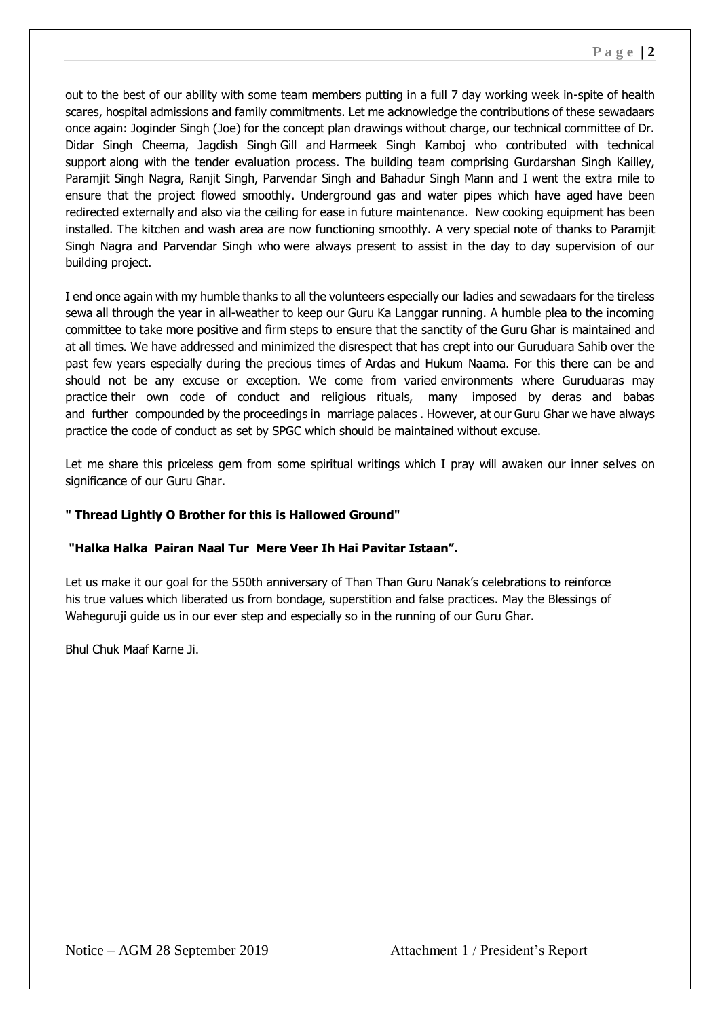out to the best of our ability with some team members putting in a full 7 day working week in-spite of health scares, hospital admissions and family commitments. Let me acknowledge the contributions of these sewadaars once again: Joginder Singh (Joe) for the concept plan drawings without charge, our technical committee of Dr. Didar Singh Cheema, Jagdish Singh Gill and Harmeek Singh Kamboj who contributed with technical support along with the tender evaluation process. The building team comprising Gurdarshan Singh Kailley, Paramjit Singh Nagra, Ranjit Singh, Parvendar Singh and Bahadur Singh Mann and I went the extra mile to ensure that the project flowed smoothly. Underground gas and water pipes which have aged have been redirected externally and also via the ceiling for ease in future maintenance. New cooking equipment has been installed. The kitchen and wash area are now functioning smoothly. A very special note of thanks to Paramjit Singh Nagra and Parvendar Singh who were always present to assist in the day to day supervision of our building project.

I end once again with my humble thanks to all the volunteers especially our ladies and sewadaars for the tireless sewa all through the year in all-weather to keep our Guru Ka Langgar running. A humble plea to the incoming committee to take more positive and firm steps to ensure that the sanctity of the Guru Ghar is maintained and at all times. We have addressed and minimized the disrespect that has crept into our Guruduara Sahib over the past few years especially during the precious times of Ardas and Hukum Naama. For this there can be and should not be any excuse or exception. We come from varied environments where Guruduaras may practice their own code of conduct and religious rituals, many imposed by deras and babas and further compounded by the proceedings in marriage palaces . However, at our Guru Ghar we have always practice the code of conduct as set by SPGC which should be maintained without excuse.

Let me share this priceless gem from some spiritual writings which I pray will awaken our inner selves on significance of our Guru Ghar.

### **" Thread Lightly O Brother for this is Hallowed Ground"**

### **"Halka Halka Pairan Naal Tur Mere Veer Ih Hai Pavitar Istaan".**

Let us make it our goal for the 550th anniversary of Than Than Guru Nanak's celebrations to reinforce his true values which liberated us from bondage, superstition and false practices. May the Blessings of Waheguruji guide us in our ever step and especially so in the running of our Guru Ghar.

Bhul Chuk Maaf Karne Ji.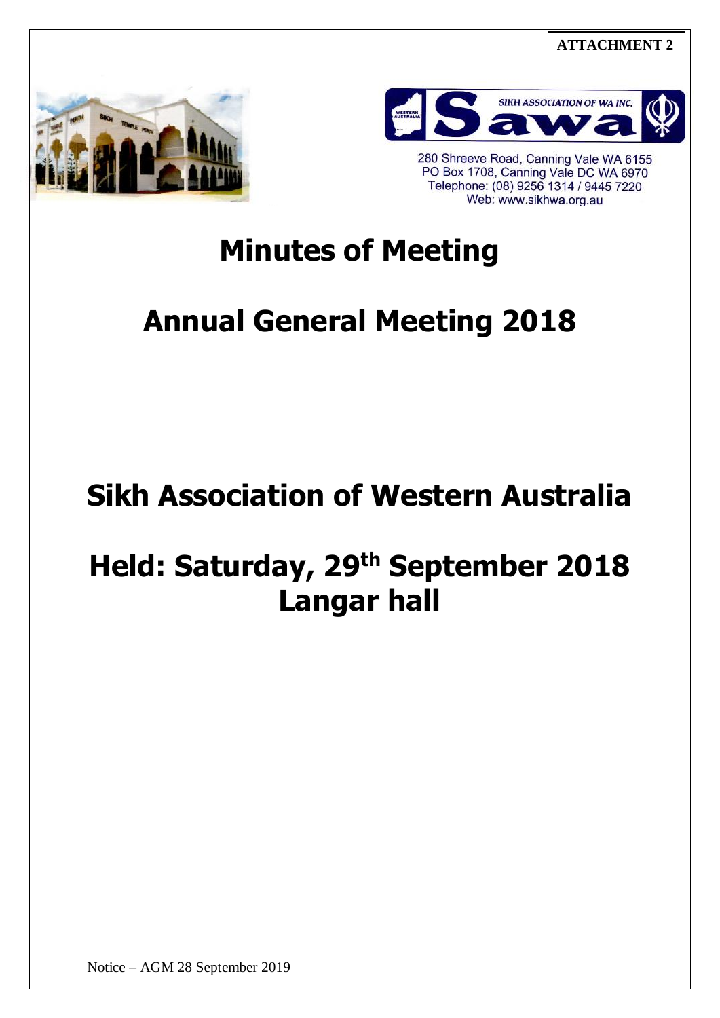



280 Shreeve Road, Canning Vale WA 6155 PO Box 1708, Canning Vale DC WA 6970 Telephone: (08) 9256 1314 / 9445 7220 Web: www.sikhwa.org.au

# **Minutes of Meeting**

# **Annual General Meeting 2018**

# **Sikh Association of Western Australia**

# **Held: Saturday, 29th September 2018 Langar hall**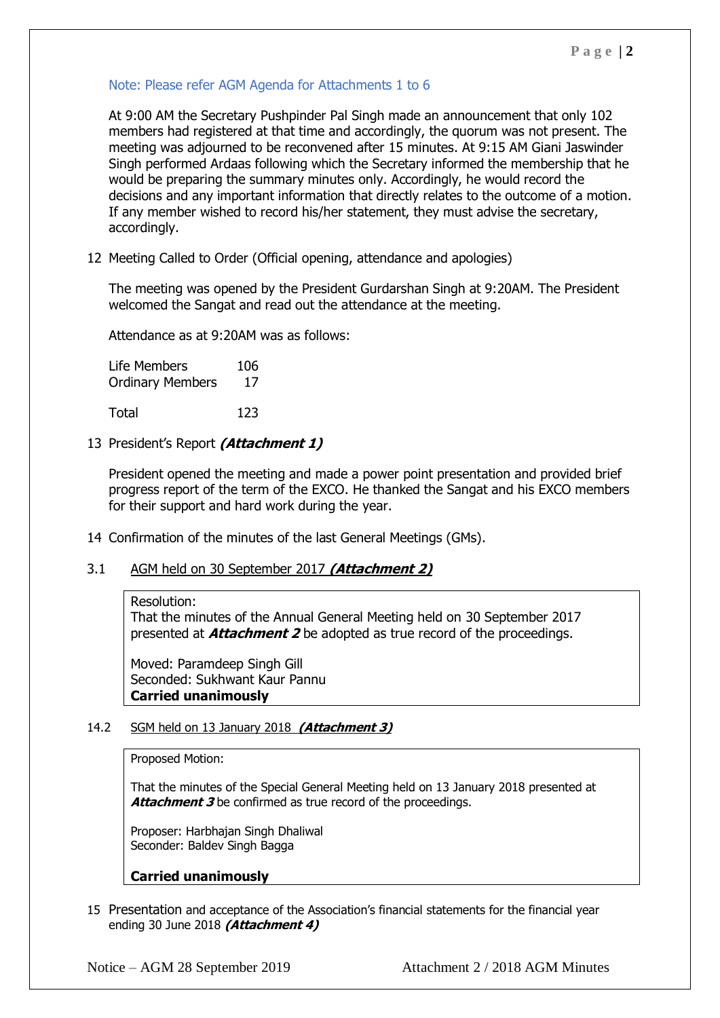### Note: Please refer AGM Agenda for Attachments 1 to 6

At 9:00 AM the Secretary Pushpinder Pal Singh made an announcement that only 102 members had registered at that time and accordingly, the quorum was not present. The meeting was adjourned to be reconvened after 15 minutes. At 9:15 AM Giani Jaswinder Singh performed Ardaas following which the Secretary informed the membership that he would be preparing the summary minutes only. Accordingly, he would record the decisions and any important information that directly relates to the outcome of a motion. If any member wished to record his/her statement, they must advise the secretary, accordingly.

12 Meeting Called to Order (Official opening, attendance and apologies)

The meeting was opened by the President Gurdarshan Singh at 9:20AM. The President welcomed the Sangat and read out the attendance at the meeting.

Attendance as at 9:20AM was as follows:

Life Members 106 Ordinary Members 17

Total 123

# 13 President's Report **(Attachment 1)**

President opened the meeting and made a power point presentation and provided brief progress report of the term of the EXCO. He thanked the Sangat and his EXCO members for their support and hard work during the year.

14 Confirmation of the minutes of the last General Meetings (GMs).

# 3.1 AGM held on 30 September 2017 **(Attachment 2)**

### Resolution:

That the minutes of the Annual General Meeting held on 30 September 2017 presented at **Attachment 2** be adopted as true record of the proceedings.

Moved: Paramdeep Singh Gill Seconded: Sukhwant Kaur Pannu **Carried unanimously**

### 14.2 SGM held on 13 January 2018 **(Attachment 3)**

### Proposed Motion:

That the minutes of the Special General Meeting held on 13 January 2018 presented at Attachment 3 be confirmed as true record of the proceedings.

Proposer: Harbhajan Singh Dhaliwal Seconder: Baldev Singh Bagga

# **Carried unanimously**

15 Presentation and acceptance of the Association's financial statements for the financial year ending 30 June 2018 **(Attachment 4)**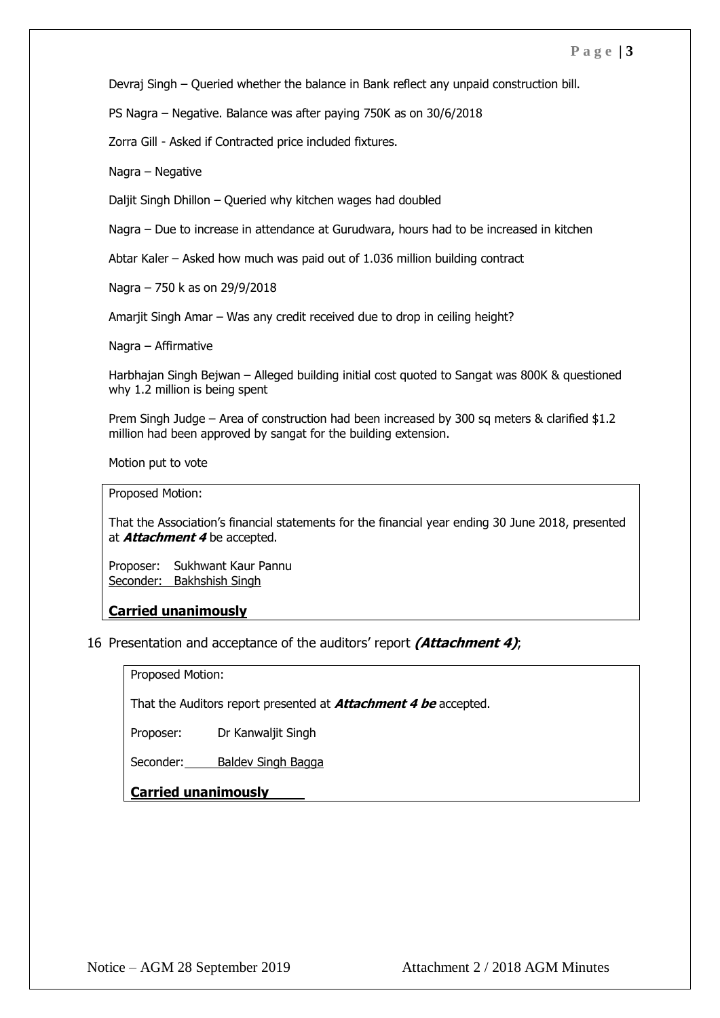Devraj Singh – Queried whether the balance in Bank reflect any unpaid construction bill.

PS Nagra – Negative. Balance was after paying 750K as on 30/6/2018

Zorra Gill - Asked if Contracted price included fixtures.

Nagra – Negative

Daljit Singh Dhillon – Queried why kitchen wages had doubled

Nagra – Due to increase in attendance at Gurudwara, hours had to be increased in kitchen

Abtar Kaler – Asked how much was paid out of 1.036 million building contract

Nagra – 750 k as on 29/9/2018

Amarjit Singh Amar – Was any credit received due to drop in ceiling height?

Nagra – Affirmative

Harbhajan Singh Bejwan – Alleged building initial cost quoted to Sangat was 800K & questioned why 1.2 million is being spent

Prem Singh Judge – Area of construction had been increased by 300 sq meters & clarified \$1.2 million had been approved by sangat for the building extension.

Motion put to vote

Proposed Motion:

That the Association's financial statements for the financial year ending 30 June 2018, presented at **Attachment 4** be accepted.

Proposer: Sukhwant Kaur Pannu Seconder: Bakhshish Singh

### **Carried unanimously**

16 Presentation and acceptance of the auditors' report **(Attachment 4)**;

Proposed Motion:

That the Auditors report presented at **Attachment 4 be** accepted.

Proposer: Dr Kanwaljit Singh

Seconder: Baldev Singh Bagga

**Carried unanimously**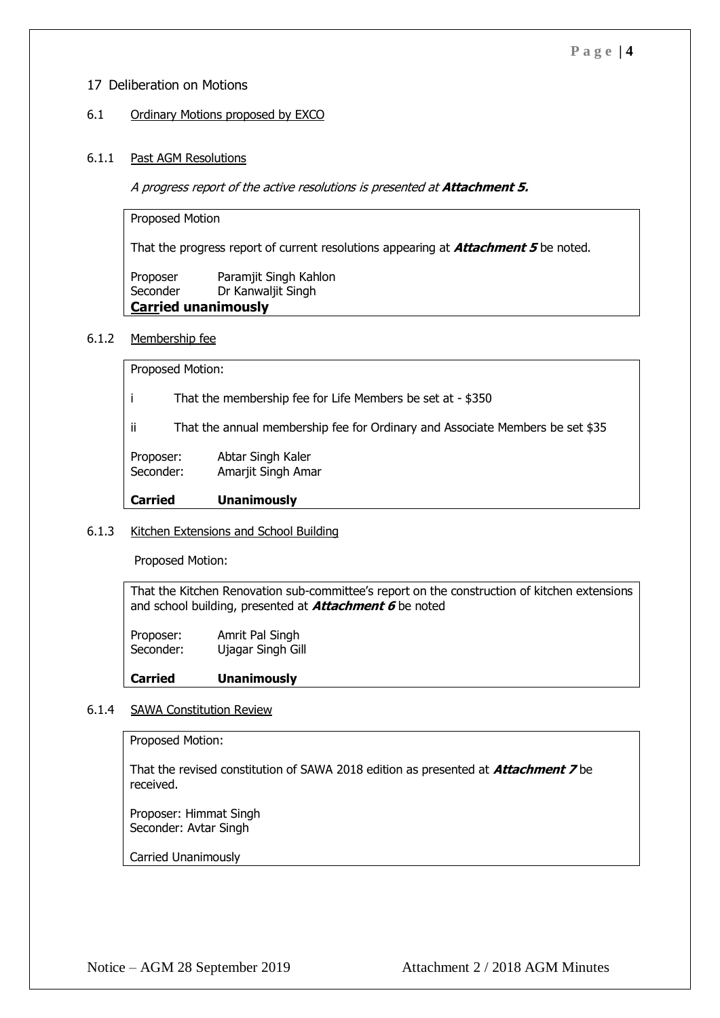### 17 Deliberation on Motions

### 6.1 Ordinary Motions proposed by EXCO

### 6.1.1 Past AGM Resolutions

A progress report of the active resolutions is presented at **Attachment 5.**

Proposed Motion That the progress report of current resolutions appearing at **Attachment 5** be noted. Proposer Paramjit Singh Kahlon Seconder Dr Kanwaliit Singh **Carried unanimously**

### 6.1.2 Membership fee

Proposed Motion: i That the membership fee for Life Members be set at - \$350 ii That the annual membership fee for Ordinary and Associate Members be set \$35 Proposer: Abtar Singh Kaler Seconder: Amarjit Singh Amar **Carried Unanimously**

### 6.1.3 Kitchen Extensions and School Building

Proposed Motion:

That the Kitchen Renovation sub-committee's report on the construction of kitchen extensions and school building, presented at **Attachment 6** be noted

Proposer: Amrit Pal Singh Seconder: Ujagar Singh Gill

**Carried Unanimously**

### 6.1.4 SAWA Constitution Review

Proposed Motion:

That the revised constitution of SAWA 2018 edition as presented at **Attachment 7** be received.

Proposer: Himmat Singh Seconder: Avtar Singh

### Carried Unanimously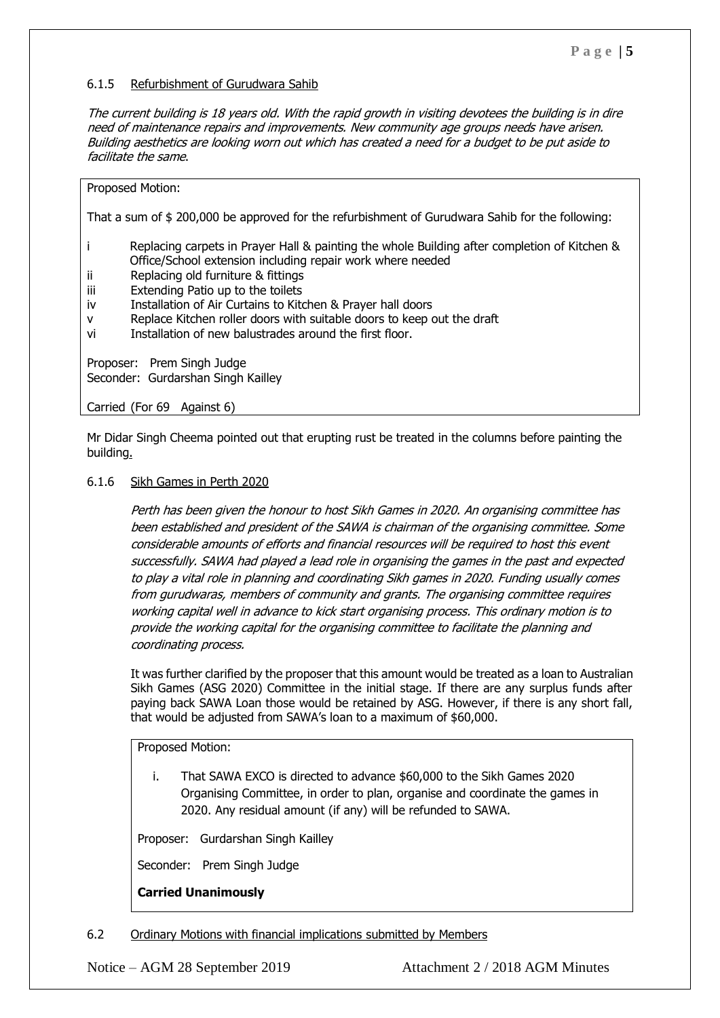### 6.1.5 Refurbishment of Gurudwara Sahib

The current building is 18 years old. With the rapid growth in visiting devotees the building is in dire need of maintenance repairs and improvements. New community age groups needs have arisen. Building aesthetics are looking worn out which has created a need for a budget to be put aside to facilitate the same.

| Proposed Motion:                                                                                                                                                                                                                                         |  |  |  |
|----------------------------------------------------------------------------------------------------------------------------------------------------------------------------------------------------------------------------------------------------------|--|--|--|
| That a sum of \$200,000 be approved for the refurbishment of Gurudwara Sahib for the following:                                                                                                                                                          |  |  |  |
| Replacing carpets in Prayer Hall & painting the whole Building after completion of Kitchen &<br>Ť<br>Office/School extension including repair work where needed<br>-ii<br>Replacing old furniture & fittings<br>iii<br>Extending Patio up to the toilets |  |  |  |
| iv<br>Installation of Air Curtains to Kitchen & Prayer hall doors<br>Replace Kitchen roller doors with suitable doors to keep out the draft<br>v<br>Installation of new balustrades around the first floor.<br>vi                                        |  |  |  |
| Proposer: Prem Singh Judge<br>Seconder: Gurdarshan Singh Kailley                                                                                                                                                                                         |  |  |  |
| Carried (For 69<br>Against 6)                                                                                                                                                                                                                            |  |  |  |

Mr Didar Singh Cheema pointed out that erupting rust be treated in the columns before painting the building.

### 6.1.6 Sikh Games in Perth 2020

Perth has been given the honour to host Sikh Games in 2020. An organising committee has been established and president of the SAWA is chairman of the organising committee. Some considerable amounts of efforts and financial resources will be required to host this event successfully. SAWA had played a lead role in organising the games in the past and expected to play a vital role in planning and coordinating Sikh games in 2020. Funding usually comes from gurudwaras, members of community and grants. The organising committee requires working capital well in advance to kick start organising process. This ordinary motion is to provide the working capital for the organising committee to facilitate the planning and coordinating process.

It was further clarified by the proposer that this amount would be treated as a loan to Australian Sikh Games (ASG 2020) Committee in the initial stage. If there are any surplus funds after paying back SAWA Loan those would be retained by ASG. However, if there is any short fall, that would be adjusted from SAWA's loan to a maximum of \$60,000.

### Proposed Motion:

i. That SAWA EXCO is directed to advance \$60,000 to the Sikh Games 2020 Organising Committee, in order to plan, organise and coordinate the games in 2020. Any residual amount (if any) will be refunded to SAWA.

Proposer: Gurdarshan Singh Kailley

Seconder: Prem Singh Judge

### **Carried Unanimously**

### 6.2 Ordinary Motions with financial implications submitted by Members

Notice – AGM 28 September 2019 Attachment 2 / 2018 AGM Minutes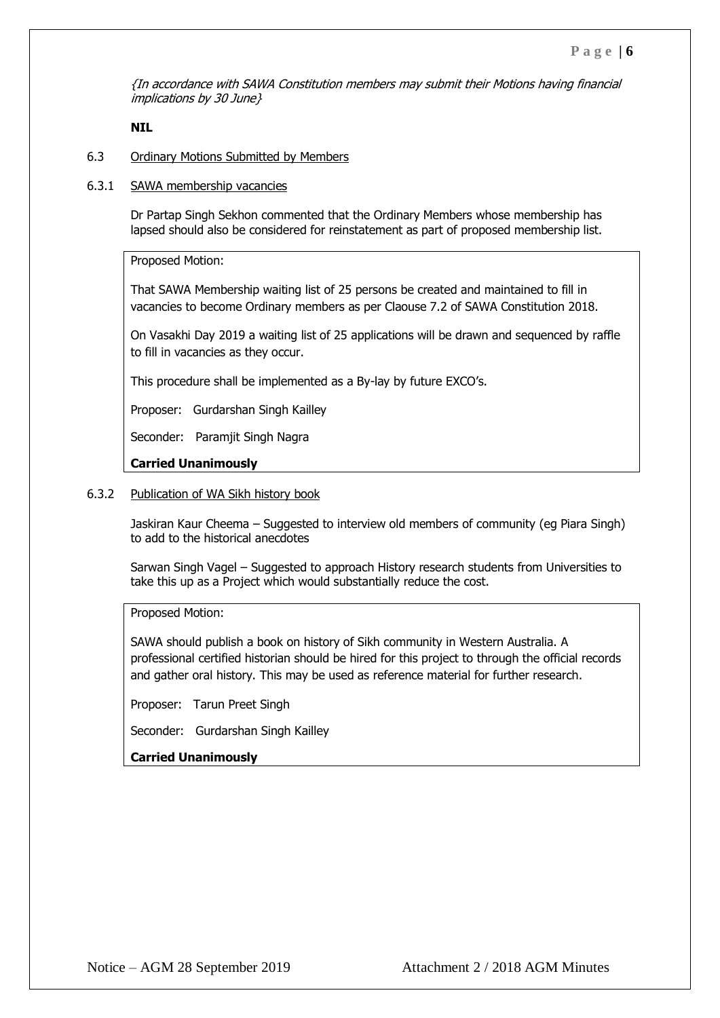{In accordance with SAWA Constitution members may submit their Motions having financial implications by 30 June}

**NIL**

- 6.3 Ordinary Motions Submitted by Members
- 6.3.1 SAWA membership vacancies

Dr Partap Singh Sekhon commented that the Ordinary Members whose membership has lapsed should also be considered for reinstatement as part of proposed membership list.

Proposed Motion:

That SAWA Membership waiting list of 25 persons be created and maintained to fill in vacancies to become Ordinary members as per Claouse 7.2 of SAWA Constitution 2018.

On Vasakhi Day 2019 a waiting list of 25 applications will be drawn and sequenced by raffle to fill in vacancies as they occur.

This procedure shall be implemented as a By-lay by future EXCO's.

Proposer: Gurdarshan Singh Kailley

Seconder: Paramjit Singh Nagra

### **Carried Unanimously**

### 6.3.2 Publication of WA Sikh history book

Jaskiran Kaur Cheema – Suggested to interview old members of community (eg Piara Singh) to add to the historical anecdotes

Sarwan Singh Vagel – Suggested to approach History research students from Universities to take this up as a Project which would substantially reduce the cost.

Proposed Motion:

SAWA should publish a book on history of Sikh community in Western Australia. A professional certified historian should be hired for this project to through the official records and gather oral history. This may be used as reference material for further research.

Proposer: Tarun Preet Singh

Seconder: Gurdarshan Singh Kailley

### **Carried Unanimously**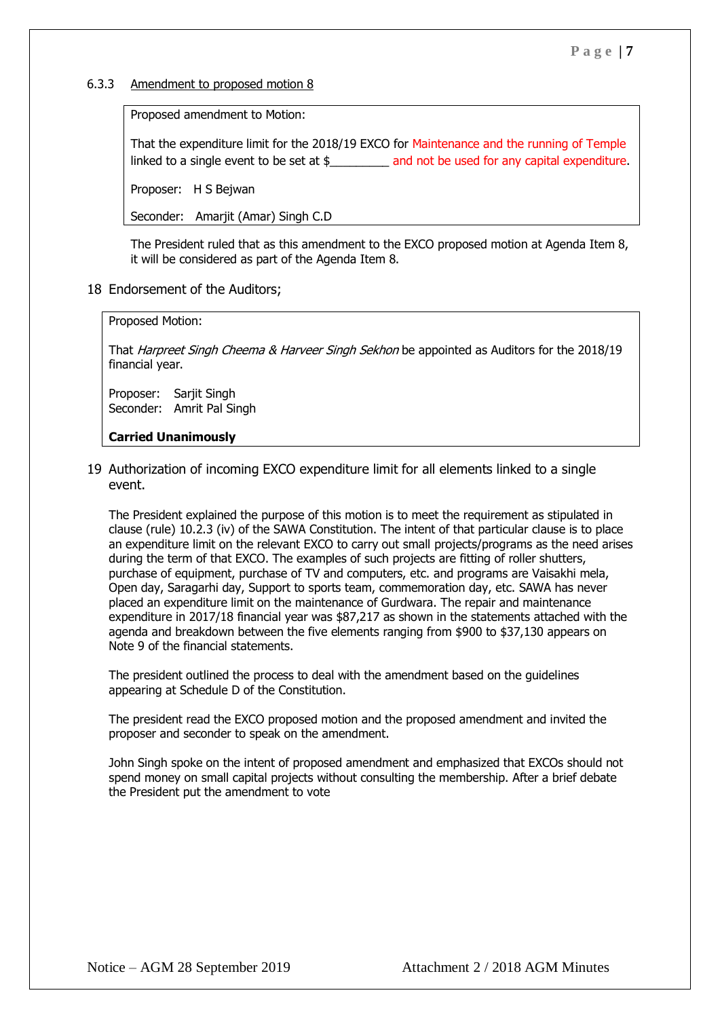6.3.3 Amendment to proposed motion 8

Proposed amendment to Motion:

That the expenditure limit for the 2018/19 EXCO for Maintenance and the running of Temple linked to a single event to be set at  $\frac{1}{2}$  and not be used for any capital expenditure.

Proposer: H S Bejwan

Seconder: Amarjit (Amar) Singh C.D

The President ruled that as this amendment to the EXCO proposed motion at Agenda Item 8, it will be considered as part of the Agenda Item 8.

18 Endorsement of the Auditors;

### Proposed Motion:

That Harpreet Singh Cheema & Harveer Singh Sekhon be appointed as Auditors for the 2018/19 financial year.

Proposer: Sarjit Singh Seconder: Amrit Pal Singh

### **Carried Unanimously**

19 Authorization of incoming EXCO expenditure limit for all elements linked to a single event.

The President explained the purpose of this motion is to meet the requirement as stipulated in clause (rule) 10.2.3 (iv) of the SAWA Constitution. The intent of that particular clause is to place an expenditure limit on the relevant EXCO to carry out small projects/programs as the need arises during the term of that EXCO. The examples of such projects are fitting of roller shutters, purchase of equipment, purchase of TV and computers, etc. and programs are Vaisakhi mela, Open day, Saragarhi day, Support to sports team, commemoration day, etc. SAWA has never placed an expenditure limit on the maintenance of Gurdwara. The repair and maintenance expenditure in 2017/18 financial year was \$87,217 as shown in the statements attached with the agenda and breakdown between the five elements ranging from \$900 to \$37,130 appears on Note 9 of the financial statements.

The president outlined the process to deal with the amendment based on the guidelines appearing at Schedule D of the Constitution.

The president read the EXCO proposed motion and the proposed amendment and invited the proposer and seconder to speak on the amendment.

John Singh spoke on the intent of proposed amendment and emphasized that EXCOs should not spend money on small capital projects without consulting the membership. After a brief debate the President put the amendment to vote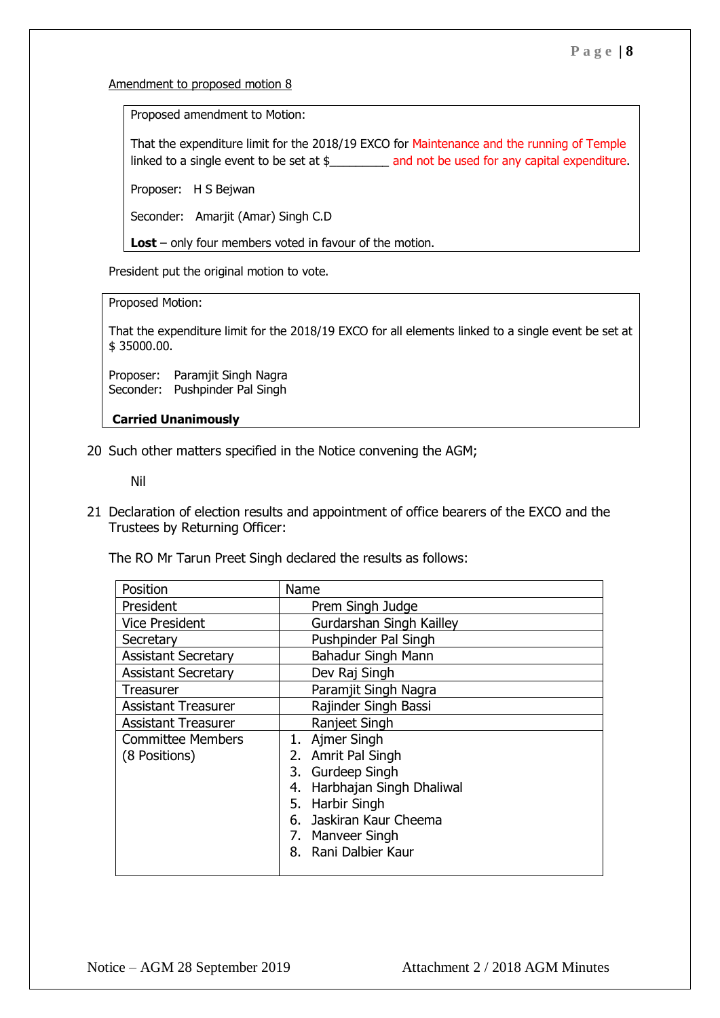Amendment to proposed motion 8

Proposed amendment to Motion:

That the expenditure limit for the 2018/19 EXCO for Maintenance and the running of Temple linked to a single event to be set at \$\_\_\_\_\_\_\_\_ and not be used for any capital expenditure.

Proposer: H S Bejwan

Seconder: Amarjit (Amar) Singh C.D

**Lost** – only four members voted in favour of the motion.

President put the original motion to vote.

Proposed Motion:

That the expenditure limit for the 2018/19 EXCO for all elements linked to a single event be set at \$ 35000.00.

Proposer: Paramjit Singh Nagra Seconder: Pushpinder Pal Singh

**Carried Unanimously**

20 Such other matters specified in the Notice convening the AGM;

Nil

21 Declaration of election results and appointment of office bearers of the EXCO and the Trustees by Returning Officer:

The RO Mr Tarun Preet Singh declared the results as follows:

| Position                   | Name                           |
|----------------------------|--------------------------------|
| President                  | Prem Singh Judge               |
| <b>Vice President</b>      | Gurdarshan Singh Kailley       |
| Secretary                  | Pushpinder Pal Singh           |
| <b>Assistant Secretary</b> | <b>Bahadur Singh Mann</b>      |
| <b>Assistant Secretary</b> | Dev Raj Singh                  |
| Treasurer                  | Paramjit Singh Nagra           |
| <b>Assistant Treasurer</b> | Rajinder Singh Bassi           |
| <b>Assistant Treasurer</b> | Ranjeet Singh                  |
| <b>Committee Members</b>   | Ajmer Singh<br>1.              |
| (8 Positions)              | Amrit Pal Singh<br>2.          |
|                            | Gurdeep Singh<br>3.            |
|                            | Harbhajan Singh Dhaliwal<br>4. |
|                            | Harbir Singh<br>5.             |
|                            | Jaskiran Kaur Cheema<br>6.     |
|                            | 7. Manveer Singh               |
|                            | 8. Rani Dalbier Kaur           |
|                            |                                |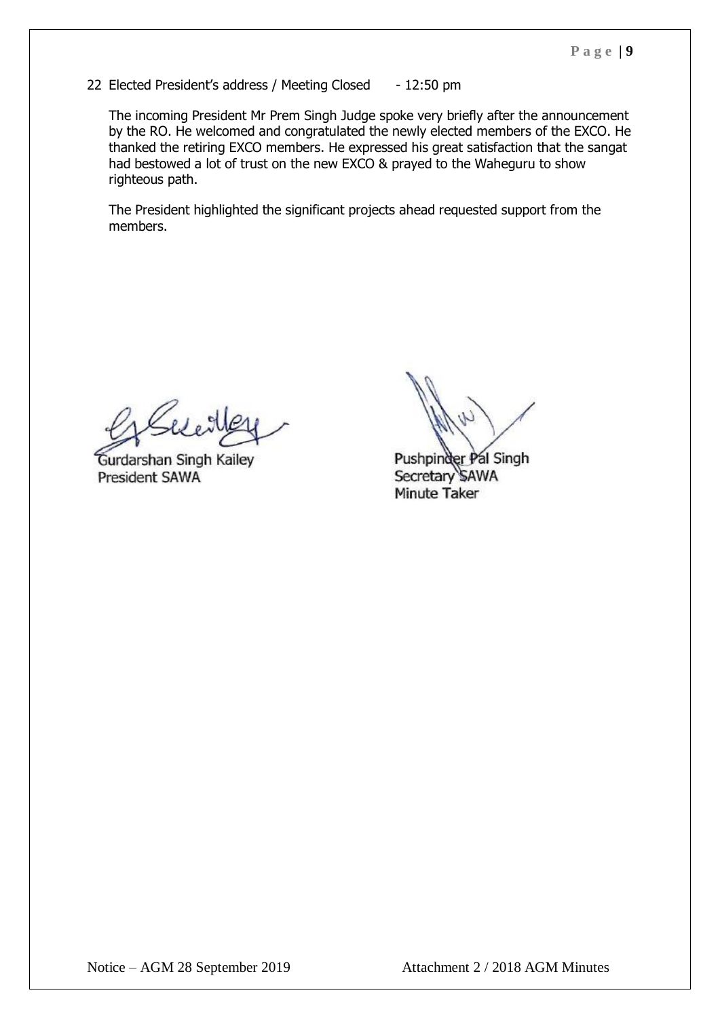22 Elected President's address / Meeting Closed - 12:50 pm

The incoming President Mr Prem Singh Judge spoke very briefly after the announcement by the RO. He welcomed and congratulated the newly elected members of the EXCO. He thanked the retiring EXCO members. He expressed his great satisfaction that the sangat had bestowed a lot of trust on the new EXCO & prayed to the Waheguru to show righteous path.

The President highlighted the significant projects ahead requested support from the members.

Ces Me

Gurdarshan Singh Kailey **President SAWA** 

Pushpinder Pal Singh Secretary SAWA **Minute Taker**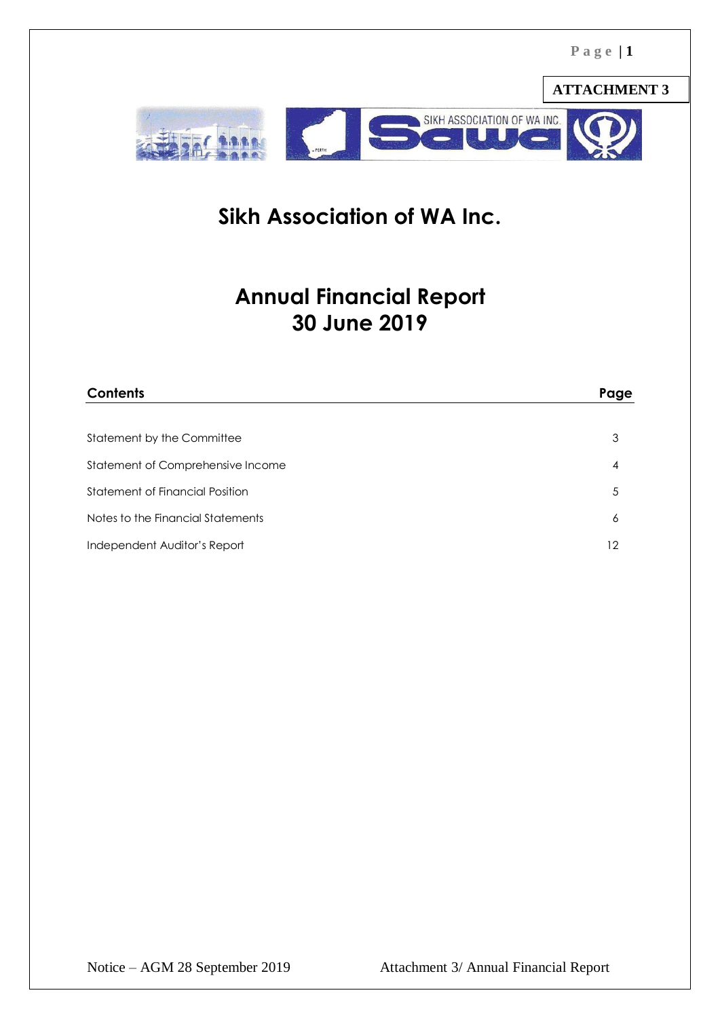

# **Sikh Association of WA Inc.**

# **Annual Financial Report 30 June 2019**

| <b>Contents</b>                   | Page |
|-----------------------------------|------|
|                                   |      |
| Statement by the Committee        | 3    |
| Statement of Comprehensive Income | 4    |
| Statement of Financial Position   | 5    |
| Notes to the Financial Statements | 6    |
| Independent Auditor's Report      | 12   |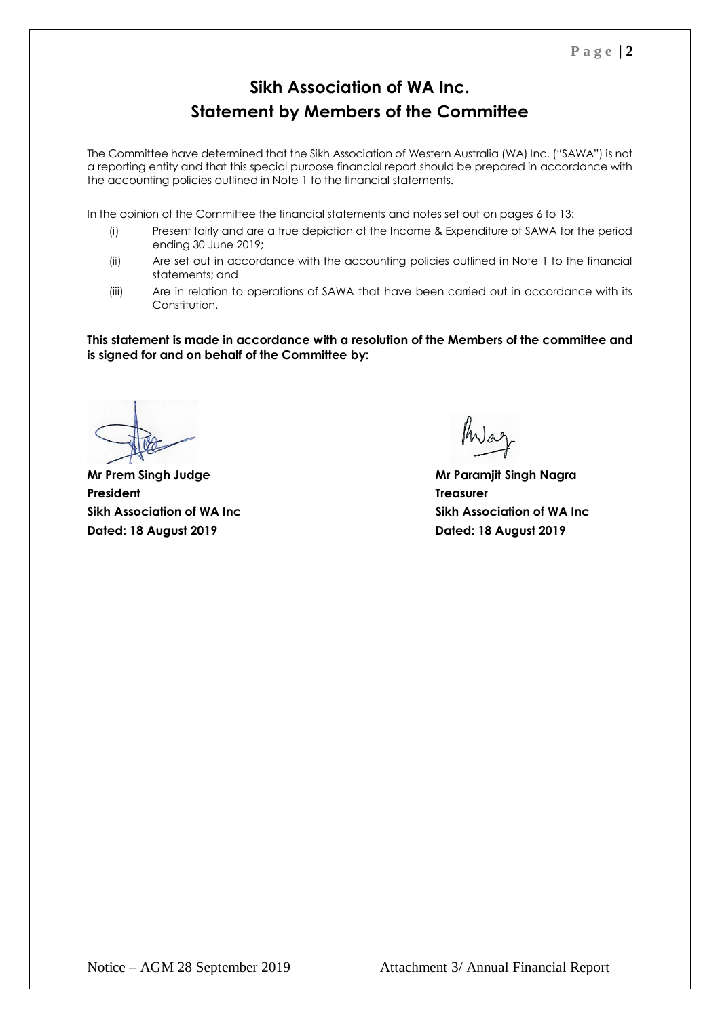# **Sikh Association of WA Inc. Statement by Members of the Committee**

The Committee have determined that the Sikh Association of Western Australia (WA) Inc. ("SAWA") is not a reporting entity and that this special purpose financial report should be prepared in accordance with the accounting policies outlined in Note 1 to the financial statements.

In the opinion of the Committee the financial statements and notes set out on pages 6 to 13:

- (i) Present fairly and are a true depiction of the Income & Expenditure of SAWA for the period ending 30 June 2019;
- (ii) Are set out in accordance with the accounting policies outlined in Note 1 to the financial statements; and
- (iii) Are in relation to operations of SAWA that have been carried out in accordance with its Constitution.

**This statement is made in accordance with a resolution of the Members of the committee and is signed for and on behalf of the Committee by:**

**Mr Prem Singh Judge Mr Paramjit Singh Nagra President Treasurer Dated: 18 August 2019 Dated: 18 August 2019**

Mag

**Sikh Association of WA Inc Sikh Association of WA Inc**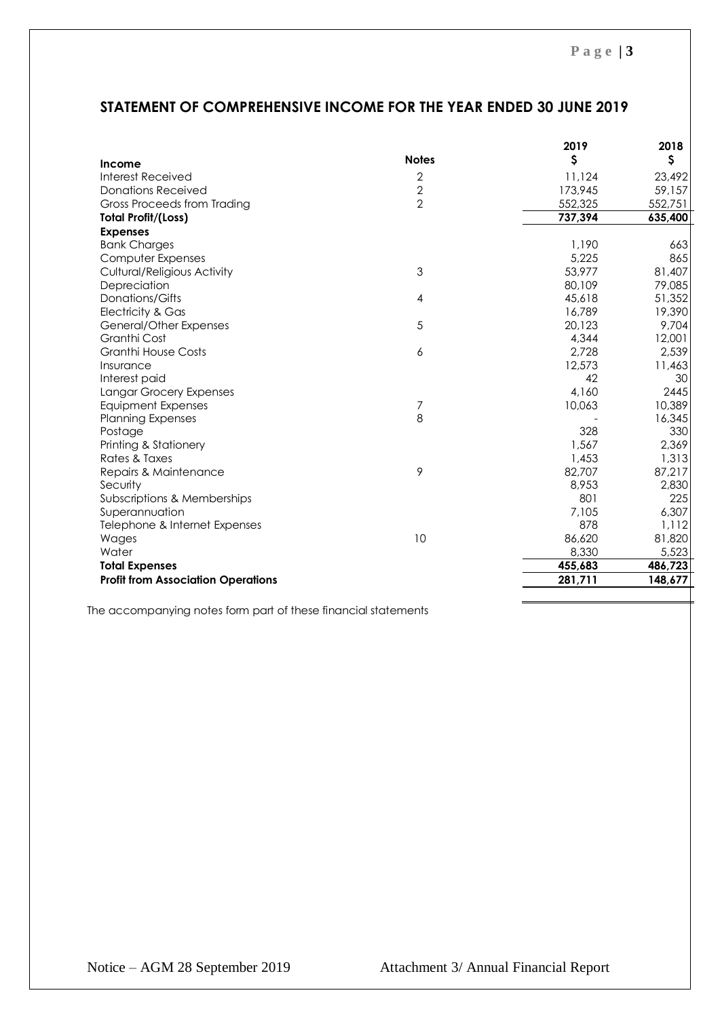**P a g e | 3**

# **STATEMENT OF COMPREHENSIVE INCOME FOR THE YEAR ENDED 30 JUNE 2019**

|                                           |                | 2019    | 2018    |
|-------------------------------------------|----------------|---------|---------|
| Income                                    | <b>Notes</b>   | \$      | \$      |
| Interest Received                         | 2              | 11,124  | 23,492  |
| <b>Donations Received</b>                 | $\mathbf{2}$   | 173,945 | 59,157  |
| <b>Gross Proceeds from Trading</b>        | $\overline{2}$ | 552,325 | 552,751 |
| <b>Total Profit/(Loss)</b>                |                | 737,394 | 635,400 |
| <b>Expenses</b>                           |                |         |         |
| <b>Bank Charges</b>                       |                | 1,190   | 663     |
| Computer Expenses                         |                | 5,225   | 865     |
| <b>Cultural/Religious Activity</b>        | 3              | 53,977  | 81,407  |
| Depreciation                              |                | 80,109  | 79,085  |
| Donations/Gifts                           | 4              | 45,618  | 51,352  |
| <b>Electricity &amp; Gas</b>              |                | 16,789  | 19,390  |
| General/Other Expenses                    | 5              | 20,123  | 9,704   |
| Granthi Cost                              |                | 4,344   | 12,001  |
| <b>Granthi House Costs</b>                | 6              | 2,728   | 2,539   |
| Insurance                                 |                | 12,573  | 11,463  |
| Interest paid                             |                | 42      | 30      |
| <b>Langar Grocery Expenses</b>            |                | 4,160   | 2445    |
| <b>Equipment Expenses</b>                 | 7              | 10,063  | 10,389  |
| <b>Planning Expenses</b>                  | 8              |         | 16,345  |
| Postage                                   |                | 328     | 330     |
| Printing & Stationery                     |                | 1,567   | 2,369   |
| Rates & Taxes                             |                | 1,453   | 1,313   |
| Repairs & Maintenance                     | 9              | 82,707  | 87,217  |
| Security                                  |                | 8.953   | 2,830   |
| Subscriptions & Memberships               |                | 801     | 225     |
| Superannuation                            |                | 7,105   | 6,307   |
| Telephone & Internet Expenses             |                | 878     | 1,112   |
| Wages                                     | 10             | 86,620  | 81,820  |
| Water                                     |                | 8,330   | 5,523   |
| <b>Total Expenses</b>                     |                | 455,683 | 486,723 |
| <b>Profit from Association Operations</b> |                | 281,711 | 148,677 |

The accompanying notes form part of these financial statements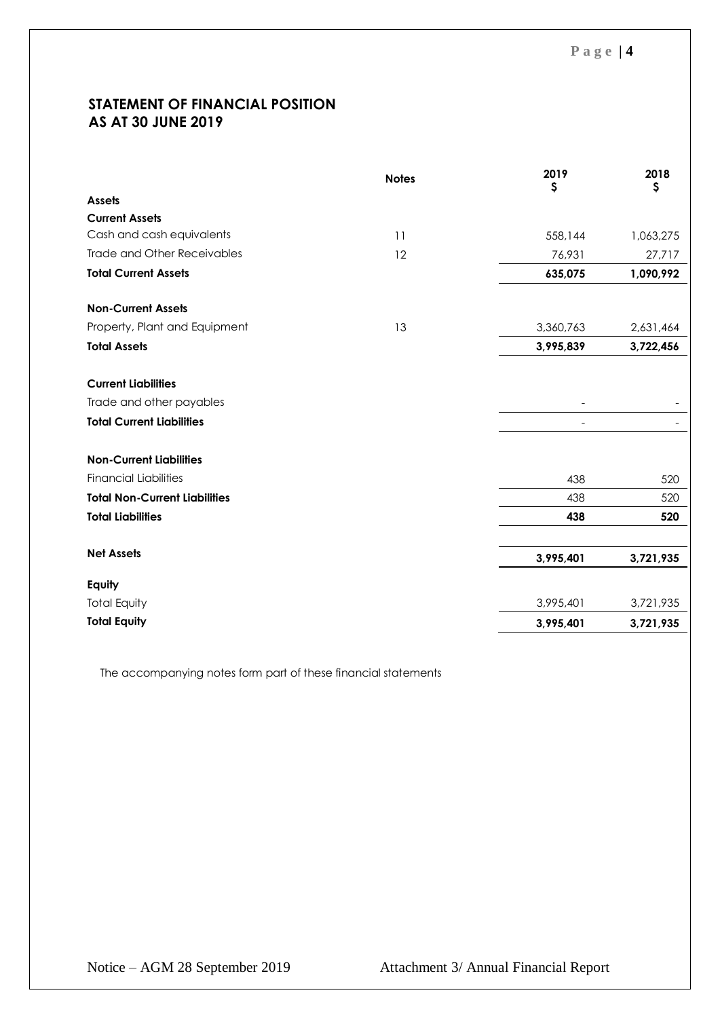# **STATEMENT OF FINANCIAL POSITION AS AT 30 JUNE 2019**

|                                      | <b>Notes</b> | 2019<br>Ş | 2018<br>Ş |
|--------------------------------------|--------------|-----------|-----------|
| <b>Assets</b>                        |              |           |           |
| <b>Current Assets</b>                |              |           |           |
| Cash and cash equivalents            | 11           | 558,144   | 1,063,275 |
| <b>Trade and Other Receivables</b>   | 12           | 76,931    | 27,717    |
| <b>Total Current Assets</b>          |              | 635,075   | 1,090,992 |
| <b>Non-Current Assets</b>            |              |           |           |
| Property, Plant and Equipment        | 13           | 3,360,763 | 2,631,464 |
| <b>Total Assets</b>                  |              | 3,995,839 | 3,722,456 |
| <b>Current Liabilities</b>           |              |           |           |
| Trade and other payables             |              |           |           |
| <b>Total Current Liabilities</b>     |              |           |           |
| <b>Non-Current Liabilities</b>       |              |           |           |
| <b>Financial Liabilities</b>         |              | 438       | 520       |
| <b>Total Non-Current Liabilities</b> |              | 438       | 520       |
| <b>Total Liabilities</b>             |              | 438       | 520       |
| <b>Net Assets</b>                    |              | 3,995,401 | 3,721,935 |
| Equity                               |              |           |           |
| <b>Total Equity</b>                  |              | 3,995,401 | 3,721,935 |
| <b>Total Equity</b>                  |              | 3,995,401 | 3,721,935 |

The accompanying notes form part of these financial statements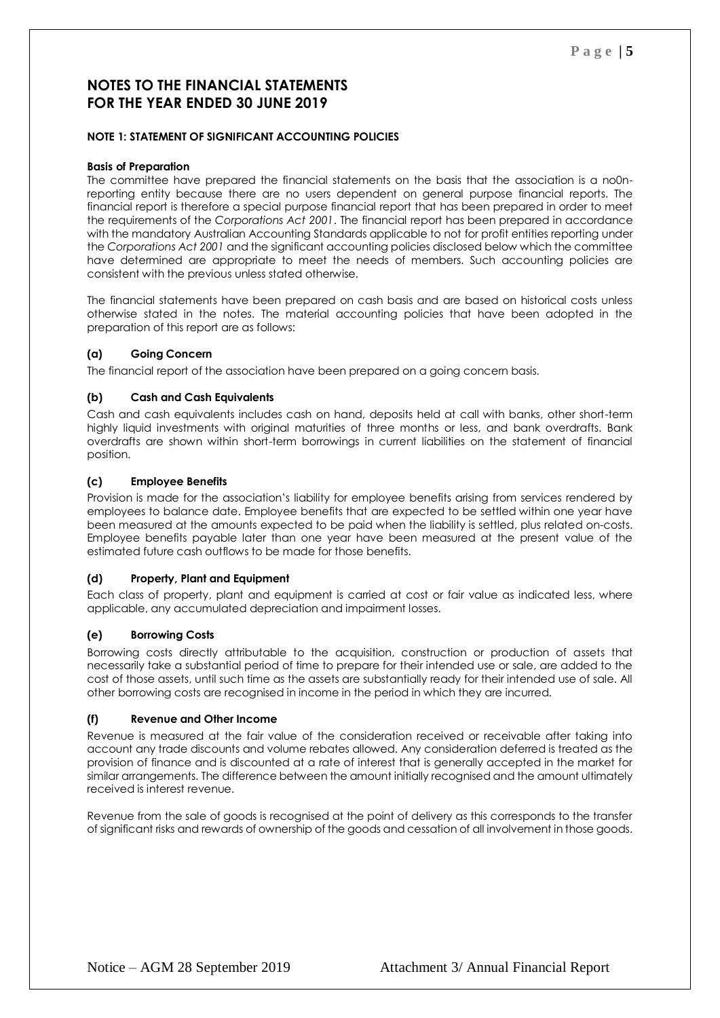### **NOTE 1: STATEMENT OF SIGNIFICANT ACCOUNTING POLICIES**

#### **Basis of Preparation**

The committee have prepared the financial statements on the basis that the association is a no0nreporting entity because there are no users dependent on general purpose financial reports. The financial report is therefore a special purpose financial report that has been prepared in order to meet the requirements of the *Corporations Act 2001*. The financial report has been prepared in accordance with the mandatory Australian Accounting Standards applicable to not for profit entities reporting under the *Corporations Act 2001* and the significant accounting policies disclosed below which the committee have determined are appropriate to meet the needs of members. Such accounting policies are consistent with the previous unless stated otherwise.

The financial statements have been prepared on cash basis and are based on historical costs unless otherwise stated in the notes. The material accounting policies that have been adopted in the preparation of this report are as follows:

#### **(a) Going Concern**

The financial report of the association have been prepared on a going concern basis.

### **(b) Cash and Cash Equivalents**

Cash and cash equivalents includes cash on hand, deposits held at call with banks, other short-term highly liquid investments with original maturities of three months or less, and bank overdrafts. Bank overdrafts are shown within short-term borrowings in current liabilities on the statement of financial position.

### **(c) Employee Benefits**

Provision is made for the association's liability for employee benefits arising from services rendered by employees to balance date. Employee benefits that are expected to be settled within one year have been measured at the amounts expected to be paid when the liability is settled, plus related on-costs. Employee benefits payable later than one year have been measured at the present value of the estimated future cash outflows to be made for those benefits.

#### **(d) Property, Plant and Equipment**

Each class of property, plant and equipment is carried at cost or fair value as indicated less, where applicable, any accumulated depreciation and impairment losses.

### **(e) Borrowing Costs**

Borrowing costs directly attributable to the acquisition, construction or production of assets that necessarily take a substantial period of time to prepare for their intended use or sale, are added to the cost of those assets, until such time as the assets are substantially ready for their intended use of sale. All other borrowing costs are recognised in income in the period in which they are incurred.

#### **(f) Revenue and Other Income**

Revenue is measured at the fair value of the consideration received or receivable after taking into account any trade discounts and volume rebates allowed. Any consideration deferred is treated as the provision of finance and is discounted at a rate of interest that is generally accepted in the market for similar arrangements. The difference between the amount initially recognised and the amount ultimately received is interest revenue.

Revenue from the sale of goods is recognised at the point of delivery as this corresponds to the transfer of significant risks and rewards of ownership of the goods and cessation of all involvement in those goods.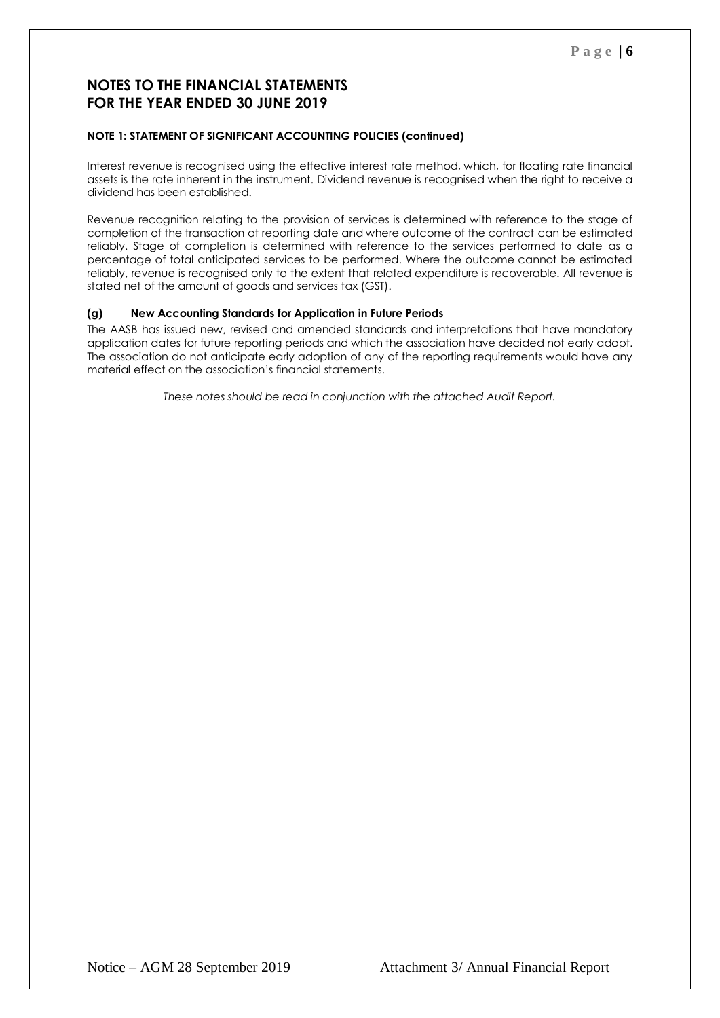### **NOTE 1: STATEMENT OF SIGNIFICANT ACCOUNTING POLICIES (continued)**

Interest revenue is recognised using the effective interest rate method, which, for floating rate financial assets is the rate inherent in the instrument. Dividend revenue is recognised when the right to receive a dividend has been established.

Revenue recognition relating to the provision of services is determined with reference to the stage of completion of the transaction at reporting date and where outcome of the contract can be estimated reliably. Stage of completion is determined with reference to the services performed to date as a percentage of total anticipated services to be performed. Where the outcome cannot be estimated reliably, revenue is recognised only to the extent that related expenditure is recoverable. All revenue is stated net of the amount of goods and services tax (GST).

### **(g) New Accounting Standards for Application in Future Periods**

The AASB has issued new, revised and amended standards and interpretations that have mandatory application dates for future reporting periods and which the association have decided not early adopt. The association do not anticipate early adoption of any of the reporting requirements would have any material effect on the association's financial statements.

*These notes should be read in conjunction with the attached Audit Report.*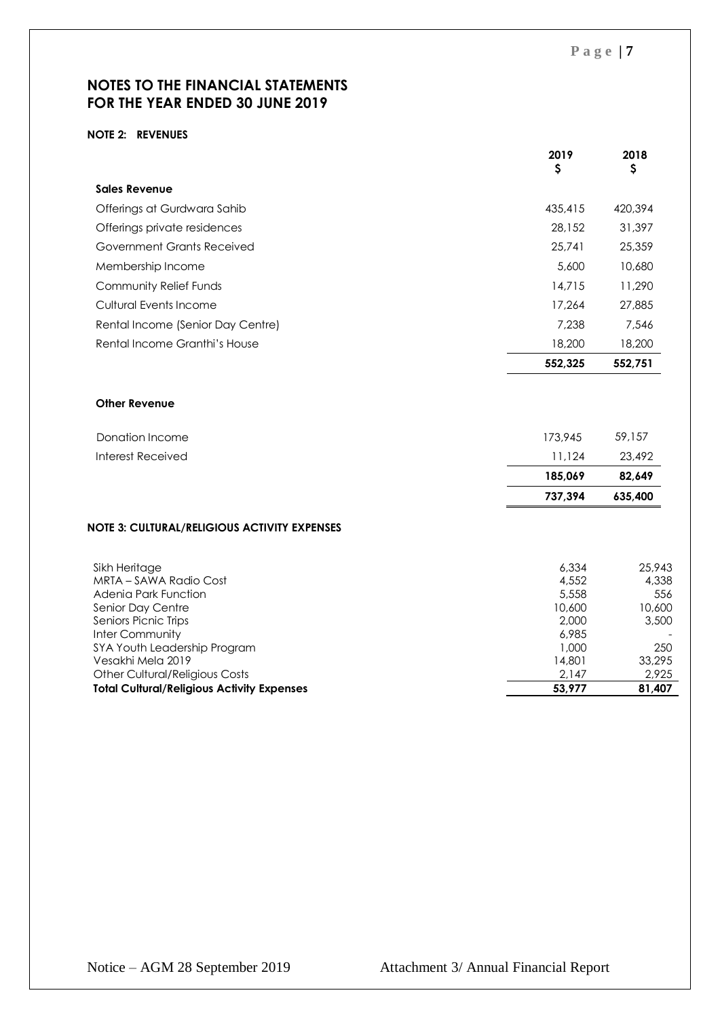### **NOTE 2: REVENUES**

|                                                     | 2019<br>\$     | 2018<br>\$   |
|-----------------------------------------------------|----------------|--------------|
| <b>Sales Revenue</b>                                |                |              |
| Offerings at Gurdwara Sahib                         | 435,415        | 420,394      |
| Offerings private residences                        | 28,152         | 31,397       |
| <b>Government Grants Received</b>                   | 25,741         | 25,359       |
| Membership Income                                   | 5,600          | 10,680       |
| <b>Community Relief Funds</b>                       | 14,715         | 11,290       |
| Cultural Events Income                              | 17,264         | 27,885       |
| Rental Income (Senior Day Centre)                   | 7,238          | 7,546        |
| Rental Income Granthi's House                       | 18,200         | 18,200       |
|                                                     | 552,325        | 552,751      |
| <b>Other Revenue</b>                                |                |              |
| Donation Income                                     | 173,945        | 59,157       |
| <b>Interest Received</b>                            | 11,124         | 23,492       |
|                                                     | 185,069        | 82,649       |
|                                                     | 737,394        | 635,400      |
| <b>NOTE 3: CULTURAL/RELIGIOUS ACTIVITY EXPENSES</b> |                |              |
| Sikh Heritage                                       | 6,334          | 25,943       |
| MRTA - SAWA Radio Cost<br>Adenia Park Function      | 4,552<br>5,558 | 4,338<br>556 |
| Senior Day Centre                                   | 10,600         | 10,600       |
| Seniors Picnic Trips                                | 2,000          | 3,500        |
| Inter Community                                     | 6,985          |              |
| SYA Youth Leadership Program                        | 1,000          | 250          |
| Vesakhi Mela 2019                                   | 14,801         | 33,295       |
| Other Cultural/Religious Costs                      | 2,147          | 2,925        |
| <b>Total Cultural/Religious Activity Expenses</b>   | 53,977         | 81,407       |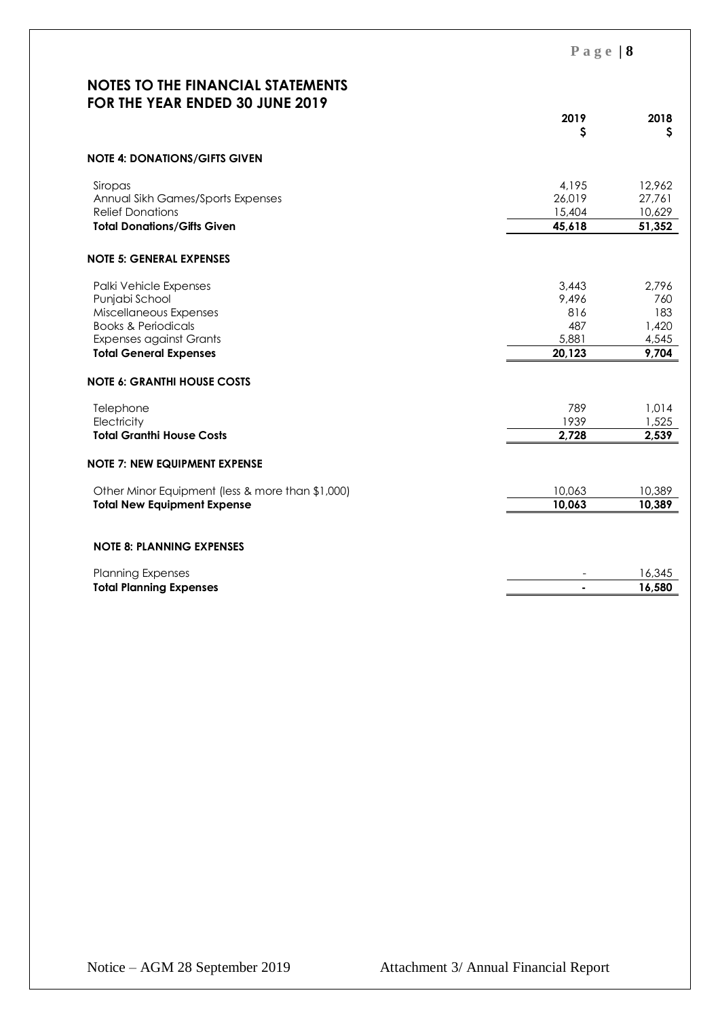|                                                  | 2019<br>\$     | 2018<br>\$ |
|--------------------------------------------------|----------------|------------|
| <b>NOTE 4: DONATIONS/GIFTS GIVEN</b>             |                |            |
| Siropas                                          | 4,195          | 12,962     |
| Annual Sikh Games/Sports Expenses                | 26,019         | 27,761     |
| <b>Relief Donations</b>                          | 15,404         | 10,629     |
| <b>Total Donations/Gifts Given</b>               | 45,618         | 51,352     |
| <b>NOTE 5: GENERAL EXPENSES</b>                  |                |            |
| Palki Vehicle Expenses                           | 3,443          | 2,796      |
| Punjabi School                                   | 9,496          | 760        |
| Miscellaneous Expenses                           | 816            | 183        |
| <b>Books &amp; Periodicals</b>                   | 487            | 1,420      |
| <b>Expenses against Grants</b>                   | 5,881          | 4,545      |
| <b>Total General Expenses</b>                    | 20,123         | 9,704      |
| <b>NOTE 6: GRANTHI HOUSE COSTS</b>               |                |            |
| Telephone                                        | 789            | 1,014      |
| Electricity                                      | 1939           | 1,525      |
| <b>Total Granthi House Costs</b>                 | 2,728          | 2,539      |
| <b>NOTE 7: NEW EQUIPMENT EXPENSE</b>             |                |            |
| Other Minor Equipment (less & more than \$1,000) | 10,063         | 10,389     |
| <b>Total New Equipment Expense</b>               | 10,063         | 10,389     |
| <b>NOTE 8: PLANNING EXPENSES</b>                 |                |            |
| <b>Planning Expenses</b>                         |                | 16,345     |
| <b>Total Planning Expenses</b>                   | $\blacksquare$ | 16,580     |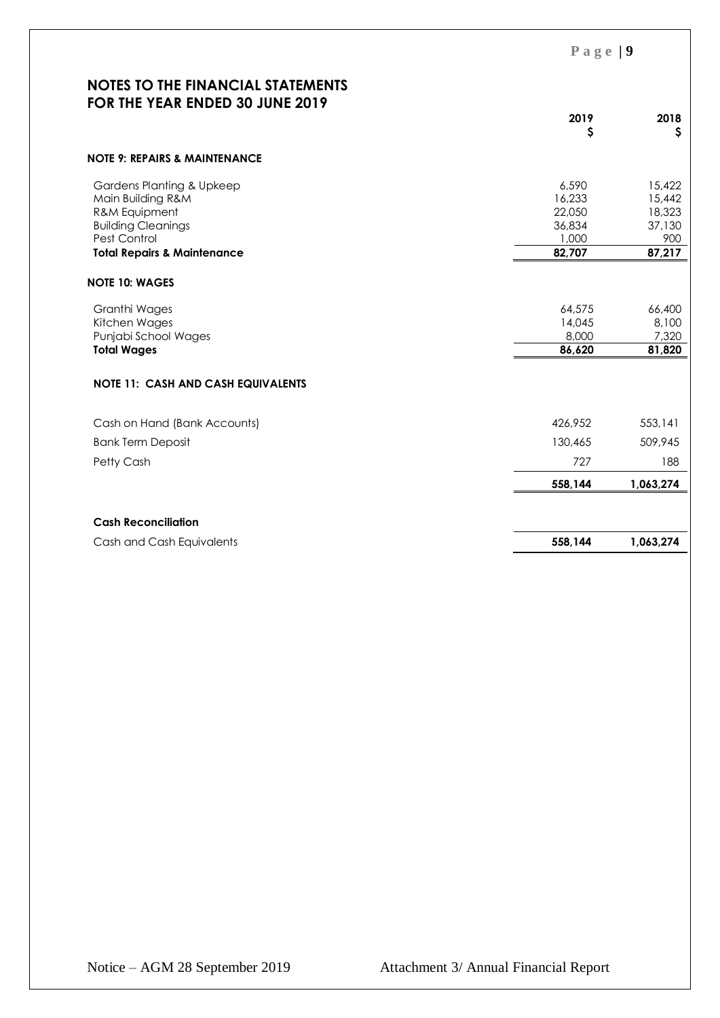| <b>NOTES TO THE FINANCIAL STATEMENTS</b><br>FOR THE YEAR ENDED 30 JUNE 2019                                                                                       |                                                        |                                                       |
|-------------------------------------------------------------------------------------------------------------------------------------------------------------------|--------------------------------------------------------|-------------------------------------------------------|
|                                                                                                                                                                   | 2019<br>Ş                                              | 2018<br>$\boldsymbol{\mathsf{S}}$                     |
| <b>NOTE 9: REPAIRS &amp; MAINTENANCE</b>                                                                                                                          |                                                        |                                                       |
| <b>Gardens Planting &amp; Upkeep</b><br>Main Building R&M<br>R&M Equipment<br><b>Building Cleanings</b><br>Pest Control<br><b>Total Repairs &amp; Maintenance</b> | 6,590<br>16,233<br>22,050<br>36,834<br>1,000<br>82,707 | 15,422<br>15,442<br>18,323<br>37,130<br>900<br>87,217 |
| <b>NOTE 10: WAGES</b>                                                                                                                                             |                                                        |                                                       |
| Granthi Wages<br>Kitchen Wages<br>Punjabi School Wages<br><b>Total Wages</b>                                                                                      | 64,575<br>14,045<br>8,000<br>86,620                    | 66,400<br>8,100<br>7,320<br>81,820                    |
| <b>NOTE 11: CASH AND CASH EQUIVALENTS</b>                                                                                                                         |                                                        |                                                       |
| Cash on Hand (Bank Accounts)<br><b>Bank Term Deposit</b>                                                                                                          | 426.952<br>130,465                                     | 553,141<br>509,945                                    |
| Petty Cash                                                                                                                                                        | 727                                                    | 188                                                   |
|                                                                                                                                                                   | 558,144                                                | 1,063,274                                             |
| <b>Cash Reconciliation</b>                                                                                                                                        |                                                        |                                                       |
| Cash and Cash Equivalents                                                                                                                                         | 558,144                                                | 1,063,274                                             |

**P a g e | 9**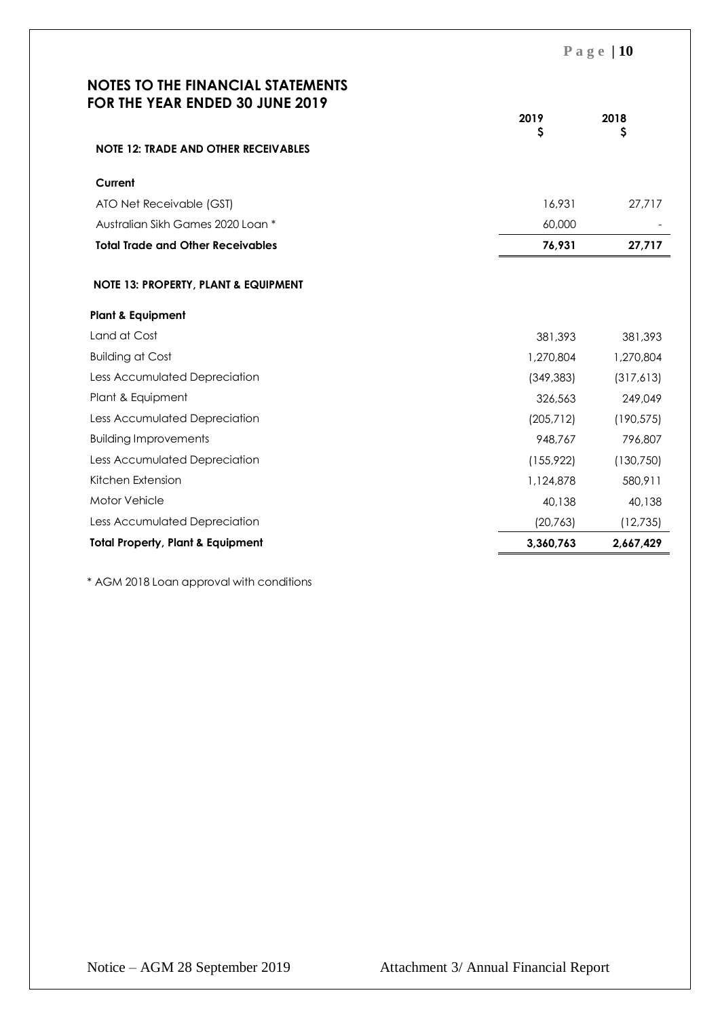|                                                                             |            | Page $ 10$ |
|-----------------------------------------------------------------------------|------------|------------|
| <b>NOTES TO THE FINANCIAL STATEMENTS</b><br>FOR THE YEAR ENDED 30 JUNE 2019 | 2019<br>S  | 2018<br>Ş  |
| <b>NOTE 12: TRADE AND OTHER RECEIVABLES</b>                                 |            |            |
| Current                                                                     |            |            |
| ATO Net Receivable (GST)                                                    | 16,931     | 27,717     |
| Australian Sikh Games 2020 Loan *                                           | 60,000     |            |
| <b>Total Trade and Other Receivables</b>                                    | 76,931     | 27,717     |
| <b>NOTE 13: PROPERTY, PLANT &amp; EQUIPMENT</b>                             |            |            |
| <b>Plant &amp; Equipment</b>                                                |            |            |
| Land at Cost                                                                | 381,393    | 381,393    |
| <b>Building at Cost</b>                                                     | 1,270,804  | 1,270,804  |
| Less Accumulated Depreciation                                               | (349, 383) | (317,613)  |
| Plant & Equipment                                                           | 326,563    | 249,049    |
| Less Accumulated Depreciation                                               | (205,712)  | (190, 575) |
| <b>Building Improvements</b>                                                | 948,767    | 796,807    |
| Less Accumulated Depreciation                                               | (155, 922) | (130, 750) |
| Kitchen Extension                                                           | 1,124,878  | 580,911    |
| Motor Vehicle                                                               | 40,138     | 40,138     |
| Less Accumulated Depreciation                                               | (20, 763)  | (12, 735)  |
| <b>Total Property, Plant &amp; Equipment</b>                                | 3,360,763  | 2,667,429  |

\* AGM 2018 Loan approval with conditions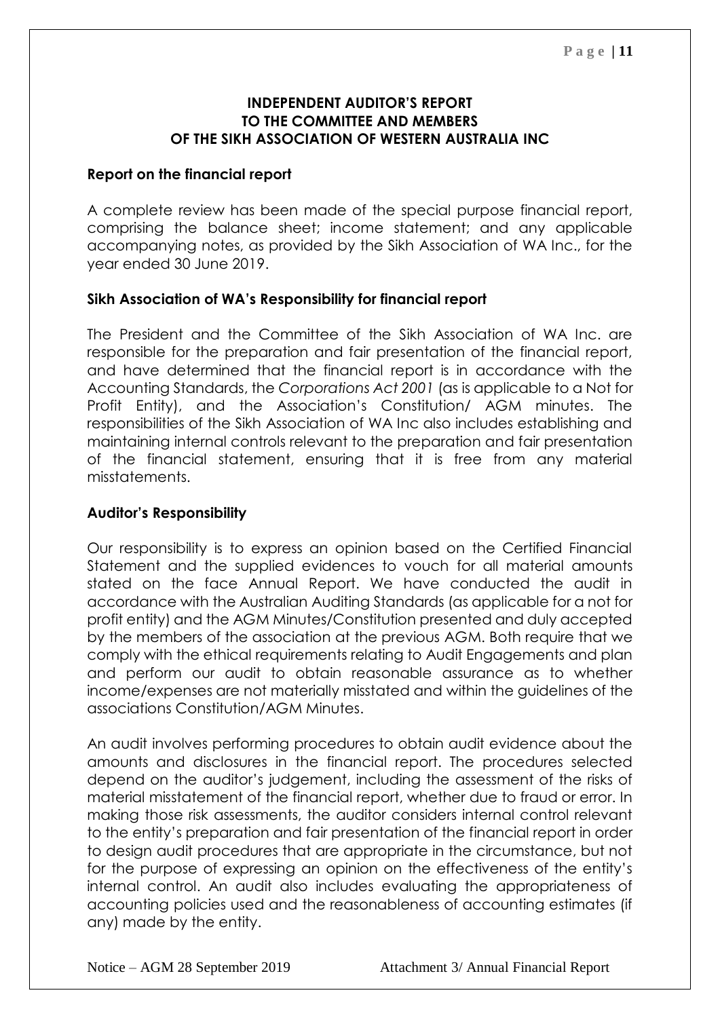# **INDEPENDENT AUDITOR'S REPORT TO THE COMMITTEE AND MEMBERS OF THE SIKH ASSOCIATION OF WESTERN AUSTRALIA INC**

# **Report on the financial report**

A complete review has been made of the special purpose financial report, comprising the balance sheet; income statement; and any applicable accompanying notes, as provided by the Sikh Association of WA Inc., for the year ended 30 June 2019.

# **Sikh Association of WA's Responsibility for financial report**

The President and the Committee of the Sikh Association of WA Inc. are responsible for the preparation and fair presentation of the financial report, and have determined that the financial report is in accordance with the Accounting Standards, the *Corporations Act 2001* (as is applicable to a Not for Profit Entity), and the Association's Constitution/ AGM minutes. The responsibilities of the Sikh Association of WA Inc also includes establishing and maintaining internal controls relevant to the preparation and fair presentation of the financial statement, ensuring that it is free from any material misstatements.

### **Auditor's Responsibility**

Our responsibility is to express an opinion based on the Certified Financial Statement and the supplied evidences to vouch for all material amounts stated on the face Annual Report. We have conducted the audit in accordance with the Australian Auditing Standards (as applicable for a not for profit entity) and the AGM Minutes/Constitution presented and duly accepted by the members of the association at the previous AGM. Both require that we comply with the ethical requirements relating to Audit Engagements and plan and perform our audit to obtain reasonable assurance as to whether income/expenses are not materially misstated and within the guidelines of the associations Constitution/AGM Minutes.

An audit involves performing procedures to obtain audit evidence about the amounts and disclosures in the financial report. The procedures selected depend on the auditor's judgement, including the assessment of the risks of material misstatement of the financial report, whether due to fraud or error. In making those risk assessments, the auditor considers internal control relevant to the entity's preparation and fair presentation of the financial report in order to design audit procedures that are appropriate in the circumstance, but not for the purpose of expressing an opinion on the effectiveness of the entity's internal control. An audit also includes evaluating the appropriateness of accounting policies used and the reasonableness of accounting estimates (if any) made by the entity.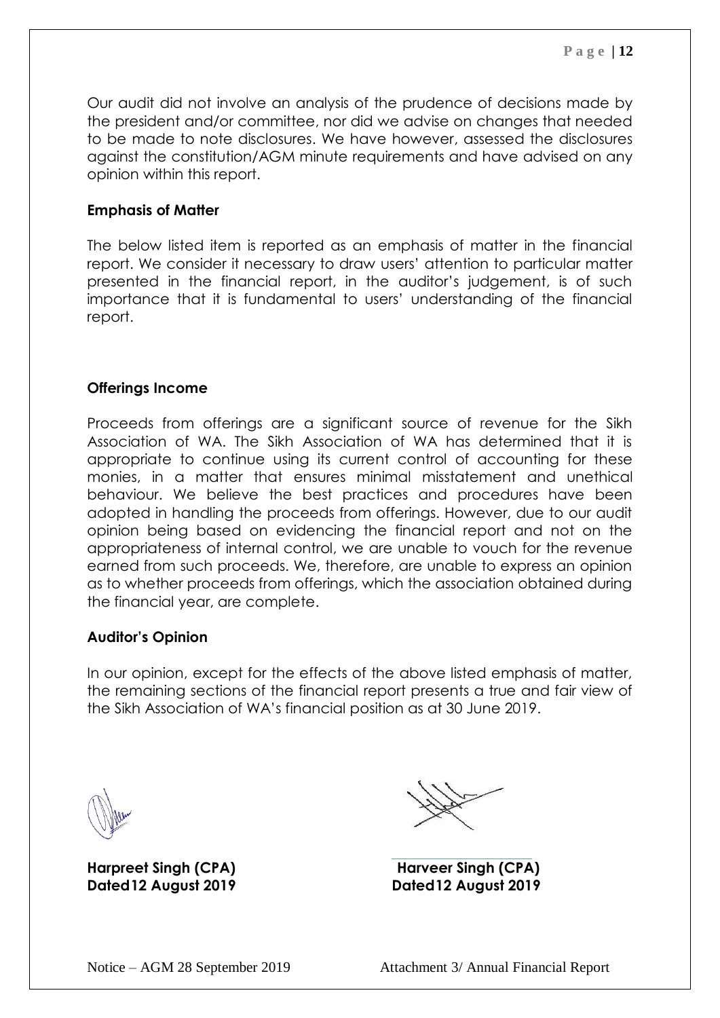Our audit did not involve an analysis of the prudence of decisions made by the president and/or committee, nor did we advise on changes that needed to be made to note disclosures. We have however, assessed the disclosures against the constitution/AGM minute requirements and have advised on any opinion within this report.

# **Emphasis of Matter**

The below listed item is reported as an emphasis of matter in the financial report. We consider it necessary to draw users' attention to particular matter presented in the financial report, in the auditor's judgement, is of such importance that it is fundamental to users' understanding of the financial report.

### **Offerings Income**

Proceeds from offerings are a significant source of revenue for the Sikh Association of WA. The Sikh Association of WA has determined that it is appropriate to continue using its current control of accounting for these monies, in a matter that ensures minimal misstatement and unethical behaviour. We believe the best practices and procedures have been adopted in handling the proceeds from offerings. However, due to our audit opinion being based on evidencing the financial report and not on the appropriateness of internal control, we are unable to vouch for the revenue earned from such proceeds. We, therefore, are unable to express an opinion as to whether proceeds from offerings, which the association obtained during the financial year, are complete.

# **Auditor's Opinion**

In our opinion, except for the effects of the above listed emphasis of matter, the remaining sections of the financial report presents a true and fair view of the Sikh Association of WA's financial position as at 30 June 2019.

Harpreet Singh (CPA) **Harveer Singh (CPA) Dated12 August 2019 Dated12 August 2019**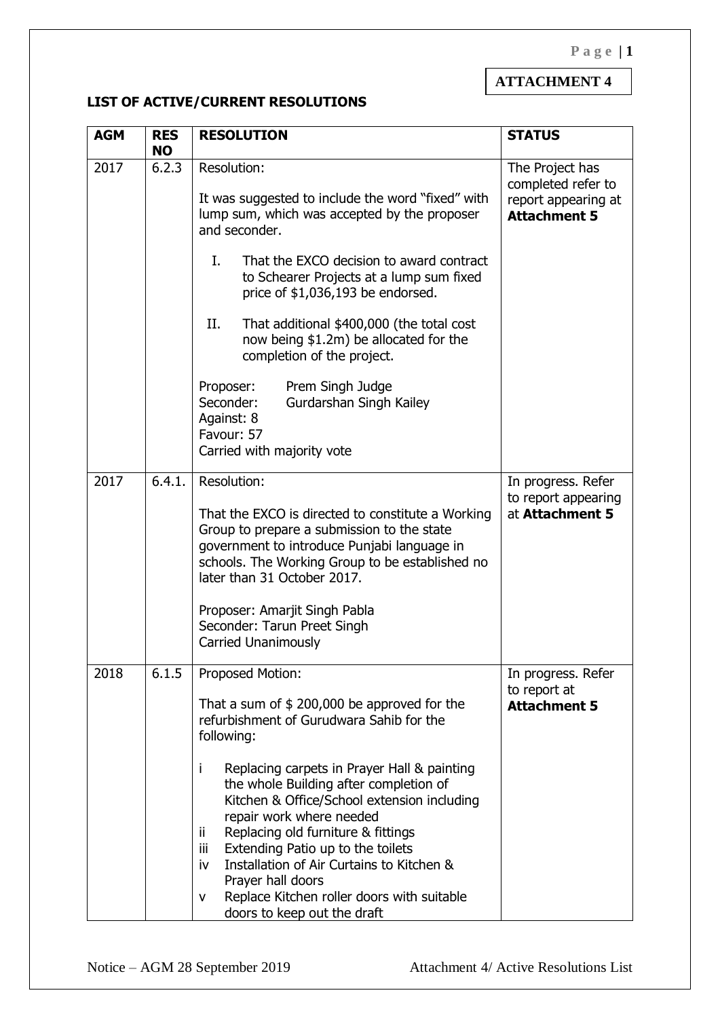# **ATTACHMENT 4**

# **LIST OF ACTIVE/CURRENT RESOLUTIONS**

| <b>AGM</b> | <b>RES</b><br><b>NO</b> | <b>RESOLUTION</b>                                                                                                                                                                                                                                                                                                                                                                                                                                                                                                                                      | <b>STATUS</b>                                                                       |
|------------|-------------------------|--------------------------------------------------------------------------------------------------------------------------------------------------------------------------------------------------------------------------------------------------------------------------------------------------------------------------------------------------------------------------------------------------------------------------------------------------------------------------------------------------------------------------------------------------------|-------------------------------------------------------------------------------------|
| 2017       | 6.2.3                   | Resolution:<br>It was suggested to include the word "fixed" with<br>lump sum, which was accepted by the proposer<br>and seconder.<br>I.<br>That the EXCO decision to award contract<br>to Schearer Projects at a lump sum fixed<br>price of \$1,036,193 be endorsed.<br>That additional \$400,000 (the total cost<br>П.<br>now being \$1.2m) be allocated for the                                                                                                                                                                                      | The Project has<br>completed refer to<br>report appearing at<br><b>Attachment 5</b> |
|            |                         | completion of the project.<br>Prem Singh Judge<br>Proposer:<br>Seconder:<br>Gurdarshan Singh Kailey<br>Against: 8<br>Favour: 57<br>Carried with majority vote                                                                                                                                                                                                                                                                                                                                                                                          |                                                                                     |
| 2017       | 6.4.1.                  | Resolution:<br>That the EXCO is directed to constitute a Working<br>Group to prepare a submission to the state<br>government to introduce Punjabi language in<br>schools. The Working Group to be established no<br>later than 31 October 2017.<br>Proposer: Amarjit Singh Pabla<br>Seconder: Tarun Preet Singh<br><b>Carried Unanimously</b>                                                                                                                                                                                                          | In progress. Refer<br>to report appearing<br>at Attachment 5                        |
| 2018       | 6.1.5                   | Proposed Motion:<br>That a sum of $$200,000$ be approved for the<br>refurbishment of Gurudwara Sahib for the<br>following:<br>Replacing carpets in Prayer Hall & painting<br>Ť<br>the whole Building after completion of<br>Kitchen & Office/School extension including<br>repair work where needed<br>Replacing old furniture & fittings<br>Ϊİ.<br>Extending Patio up to the toilets<br>iii<br>Installation of Air Curtains to Kitchen &<br>iv<br>Prayer hall doors<br>Replace Kitchen roller doors with suitable<br>V<br>doors to keep out the draft | In progress. Refer<br>to report at<br><b>Attachment 5</b>                           |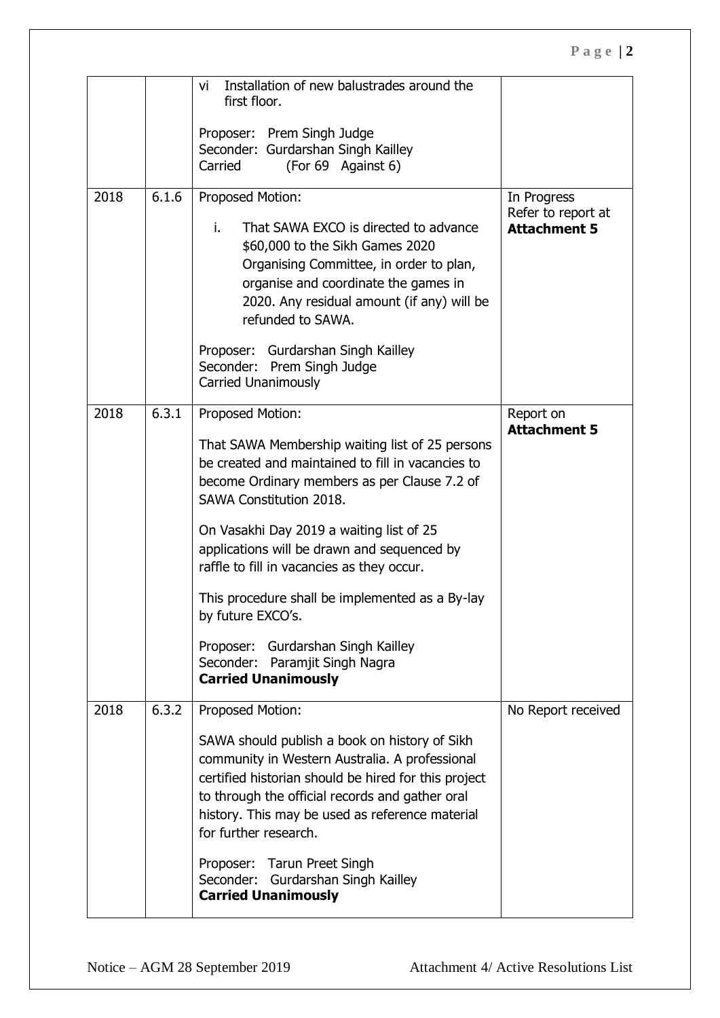# **P a g e | 2**

|      |       | Installation of new balustrades around the<br>vi<br>first floor.                                                                                                                                                                                                                       |                                           |
|------|-------|----------------------------------------------------------------------------------------------------------------------------------------------------------------------------------------------------------------------------------------------------------------------------------------|-------------------------------------------|
|      |       | Proposer: Prem Singh Judge<br>Seconder: Gurdarshan Singh Kailley<br>(For 69 Against 6)<br>Carried                                                                                                                                                                                      |                                           |
| 2018 | 6.1.6 | Proposed Motion:                                                                                                                                                                                                                                                                       | In Progress                               |
|      |       | That SAWA EXCO is directed to advance<br>i.<br>\$60,000 to the Sikh Games 2020<br>Organising Committee, in order to plan,<br>organise and coordinate the games in<br>2020. Any residual amount (if any) will be<br>refunded to SAWA.                                                   | Refer to report at<br><b>Attachment 5</b> |
|      |       | Proposer: Gurdarshan Singh Kailley<br>Seconder: Prem Singh Judge<br><b>Carried Unanimously</b>                                                                                                                                                                                         |                                           |
| 2018 | 6.3.1 | Proposed Motion:                                                                                                                                                                                                                                                                       | Report on<br><b>Attachment 5</b>          |
|      |       | That SAWA Membership waiting list of 25 persons<br>be created and maintained to fill in vacancies to<br>become Ordinary members as per Clause 7.2 of<br><b>SAWA Constitution 2018.</b>                                                                                                 |                                           |
|      |       | On Vasakhi Day 2019 a waiting list of 25<br>applications will be drawn and sequenced by<br>raffle to fill in vacancies as they occur.                                                                                                                                                  |                                           |
|      |       | This procedure shall be implemented as a By-lay<br>by future EXCO's.                                                                                                                                                                                                                   |                                           |
|      |       | Proposer: Gurdarshan Singh Kailley<br>Seconder: Paramjit Singh Nagra<br><b>Carried Unanimously</b>                                                                                                                                                                                     |                                           |
| 2018 | 6.3.2 | Proposed Motion:                                                                                                                                                                                                                                                                       | No Report received                        |
|      |       | SAWA should publish a book on history of Sikh<br>community in Western Australia. A professional<br>certified historian should be hired for this project<br>to through the official records and gather oral<br>history. This may be used as reference material<br>for further research. |                                           |
|      |       | Proposer: Tarun Preet Singh<br>Seconder: Gurdarshan Singh Kailley<br><b>Carried Unanimously</b>                                                                                                                                                                                        |                                           |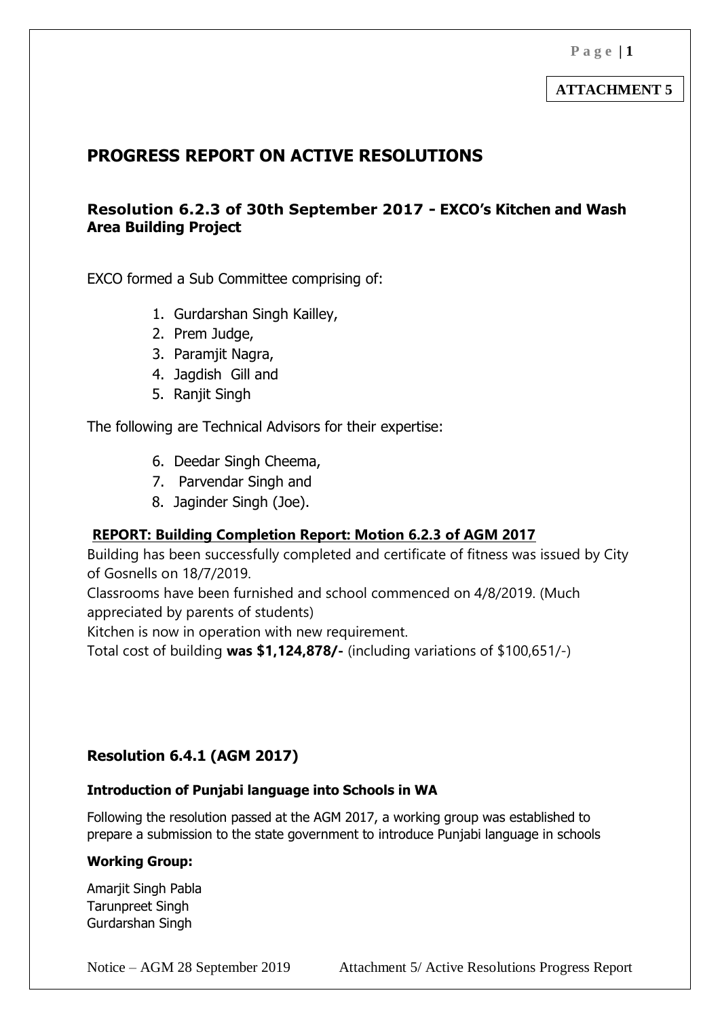**ATTACHMENT 5**

# **PROGRESS REPORT ON ACTIVE RESOLUTIONS**

# **Resolution 6.2.3 of 30th September 2017 - EXCO's Kitchen and Wash Area Building Project**

EXCO formed a Sub Committee comprising of:

- 1. Gurdarshan Singh Kailley,
- 2. Prem Judge,
- 3. Paramjit Nagra,
- 4. Jagdish Gill and
- 5. Ranjit Singh

The following are Technical Advisors for their expertise:

- 6. Deedar Singh Cheema,
- 7. Parvendar Singh and
- 8. Jaginder Singh (Joe).

# **REPORT: Building Completion Report: Motion 6.2.3 of AGM 2017**

Building has been successfully completed and certificate of fitness was issued by City of Gosnells on 18/7/2019.

Classrooms have been furnished and school commenced on 4/8/2019. (Much appreciated by parents of students)

Kitchen is now in operation with new requirement.

Total cost of building **was \$1,124,878/-** (including variations of \$100,651/-)

# **Resolution 6.4.1 (AGM 2017)**

### **Introduction of Punjabi language into Schools in WA**

Following the resolution passed at the AGM 2017, a working group was established to prepare a submission to the state government to introduce Punjabi language in schools

### **Working Group:**

Amarjit Singh Pabla Tarunpreet Singh Gurdarshan Singh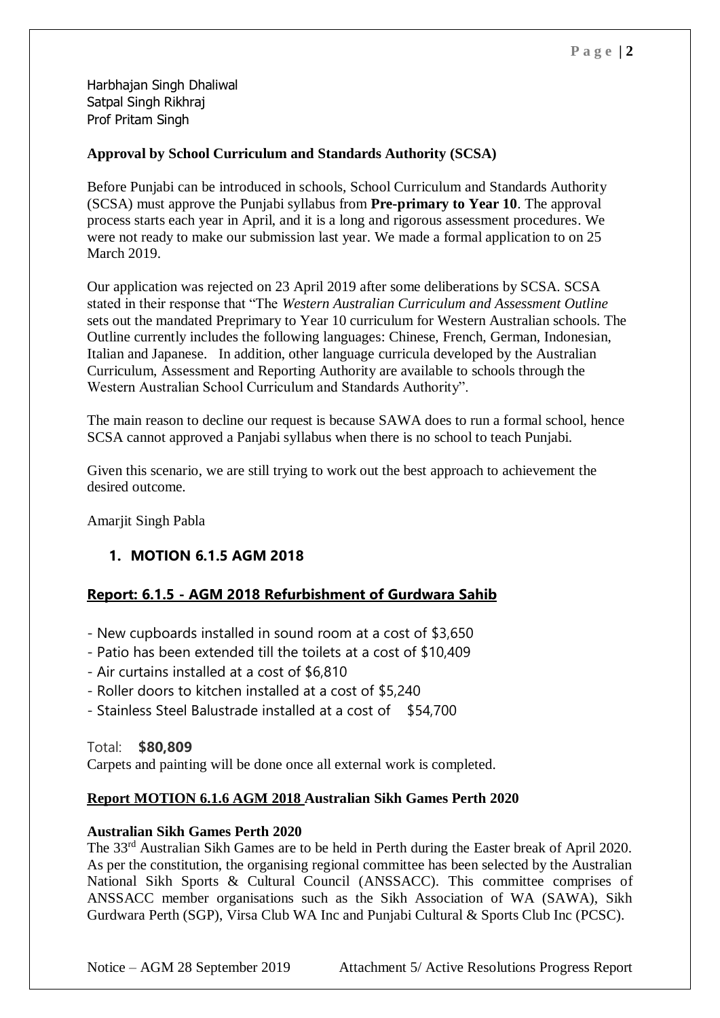Harbhajan Singh Dhaliwal Satpal Singh Rikhraj Prof Pritam Singh

# **Approval by School Curriculum and Standards Authority (SCSA)**

Before Punjabi can be introduced in schools, School Curriculum and Standards Authority (SCSA) must approve the Punjabi syllabus from **Pre-primary to Year 10**. The approval process starts each year in April, and it is a long and rigorous assessment procedures. We were not ready to make our submission last year. We made a formal application to on 25 March 2019.

Our application was rejected on 23 April 2019 after some deliberations by SCSA. SCSA stated in their response that "The *Western Australian Curriculum and Assessment Outline*  sets out the mandated Preprimary to Year 10 curriculum for Western Australian schools. The Outline currently includes the following languages: Chinese, French, German, Indonesian, Italian and Japanese. In addition, other language curricula developed by the Australian Curriculum, Assessment and Reporting Authority are available to schools through the Western Australian School Curriculum and Standards Authority".

The main reason to decline our request is because SAWA does to run a formal school, hence SCSA cannot approved a Panjabi syllabus when there is no school to teach Punjabi.

Given this scenario, we are still trying to work out the best approach to achievement the desired outcome.

Amarjit Singh Pabla

# **1. MOTION 6.1.5 AGM 2018**

# **Report: 6.1.5 - AGM 2018 Refurbishment of Gurdwara Sahib**

- New cupboards installed in sound room at a cost of \$3,650
- Patio has been extended till the toilets at a cost of \$10,409
- Air curtains installed at a cost of \$6,810
- Roller doors to kitchen installed at a cost of \$5,240
- Stainless Steel Balustrade installed at a cost of \$54,700

# Total: **\$80,809**

Carpets and painting will be done once all external work is completed.

# **Report MOTION 6.1.6 AGM 2018 Australian Sikh Games Perth 2020**

### **Australian Sikh Games Perth 2020**

The 33<sup>rd</sup> Australian Sikh Games are to be held in Perth during the Easter break of April 2020. As per the constitution, the organising regional committee has been selected by the Australian National Sikh Sports & Cultural Council (ANSSACC). This committee comprises of ANSSACC member organisations such as the Sikh Association of WA (SAWA), Sikh Gurdwara Perth (SGP), Virsa Club WA Inc and Punjabi Cultural & Sports Club Inc (PCSC).